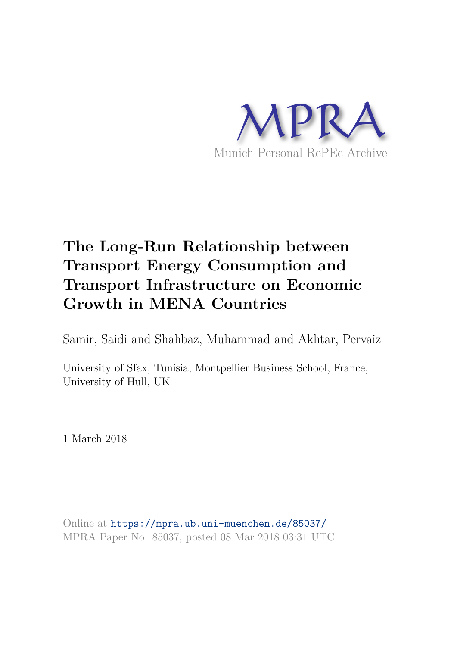

# **The Long-Run Relationship between Transport Energy Consumption and Transport Infrastructure on Economic Growth in MENA Countries**

Samir, Saidi and Shahbaz, Muhammad and Akhtar, Pervaiz

University of Sfax, Tunisia, Montpellier Business School, France, University of Hull, UK

1 March 2018

Online at https://mpra.ub.uni-muenchen.de/85037/ MPRA Paper No. 85037, posted 08 Mar 2018 03:31 UTC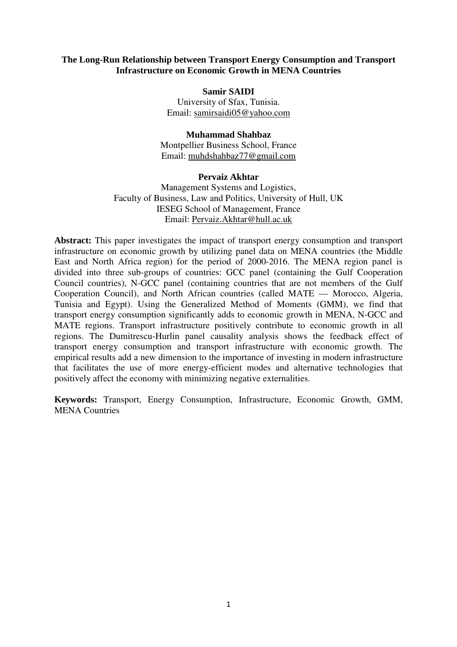# **The Long-Run Relationship between Transport Energy Consumption and Transport Infrastructure on Economic Growth in MENA Countries**

**Samir SAIDI**  University of Sfax, Tunisia. Email: samirsaidi05@yahoo.com

# **Muhammad Shahbaz**

Montpellier Business School, France Email: muhdshahbaz77@gmail.com

# **Pervaiz Akhtar**

Management Systems and Logistics, Faculty of Business, Law and Politics, University of Hull, UK IESEG School of Management, France Email: Pervaiz.Akhtar@hull.ac.uk

**Abstract:** This paper investigates the impact of transport energy consumption and transport infrastructure on economic growth by utilizing panel data on MENA countries (the Middle East and North Africa region) for the period of 2000-2016. The MENA region panel is divided into three sub-groups of countries: GCC panel (containing the Gulf Cooperation Council countries), N-GCC panel (containing countries that are not members of the Gulf Cooperation Council), and North African countries (called MATE — Morocco, Algeria, Tunisia and Egypt). Using the Generalized Method of Moments (GMM), we find that transport energy consumption significantly adds to economic growth in MENA, N-GCC and MATE regions. Transport infrastructure positively contribute to economic growth in all regions. The Dumitrescu-Hurlin panel causality analysis shows the feedback effect of transport energy consumption and transport infrastructure with economic growth. The empirical results add a new dimension to the importance of investing in modern infrastructure that facilitates the use of more energy-efficient modes and alternative technologies that positively affect the economy with minimizing negative externalities.

**Keywords:** Transport, Energy Consumption, Infrastructure, Economic Growth, GMM, MENA Countries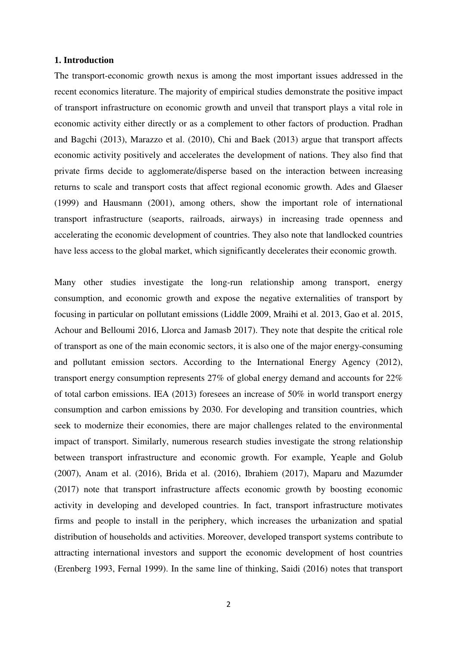#### **1. Introduction**

The transport-economic growth nexus is among the most important issues addressed in the recent economics literature. The majority of empirical studies demonstrate the positive impact of transport infrastructure on economic growth and unveil that transport plays a vital role in economic activity either directly or as a complement to other factors of production. Pradhan and Bagchi (2013), Marazzo et al. (2010), Chi and Baek (2013) argue that transport affects economic activity positively and accelerates the development of nations. They also find that private firms decide to agglomerate/disperse based on the interaction between increasing returns to scale and transport costs that affect regional economic growth. Ades and Glaeser (1999) and Hausmann (2001), among others, show the important role of international transport infrastructure (seaports, railroads, airways) in increasing trade openness and accelerating the economic development of countries. They also note that landlocked countries have less access to the global market, which significantly decelerates their economic growth.

Many other studies investigate the long-run relationship among transport, energy consumption, and economic growth and expose the negative externalities of transport by focusing in particular on pollutant emissions (Liddle 2009, Mraihi et al. 2013, Gao et al. 2015, Achour and Belloumi 2016, Llorca and Jamasb 2017). They note that despite the critical role of transport as one of the main economic sectors, it is also one of the major energy-consuming and pollutant emission sectors. According to the International Energy Agency (2012), transport energy consumption represents 27% of global energy demand and accounts for 22% of total carbon emissions. IEA (2013) foresees an increase of 50% in world transport energy consumption and carbon emissions by 2030. For developing and transition countries, which seek to modernize their economies, there are major challenges related to the environmental impact of transport. Similarly, numerous research studies investigate the strong relationship between transport infrastructure and economic growth. For example, Yeaple and Golub (2007), Anam et al. (2016), Brida et al. (2016), Ibrahiem (2017), Maparu and Mazumder (2017) note that transport infrastructure affects economic growth by boosting economic activity in developing and developed countries. In fact, transport infrastructure motivates firms and people to install in the periphery, which increases the urbanization and spatial distribution of households and activities. Moreover, developed transport systems contribute to attracting international investors and support the economic development of host countries (Erenberg 1993, Fernal 1999). In the same line of thinking, Saidi (2016) notes that transport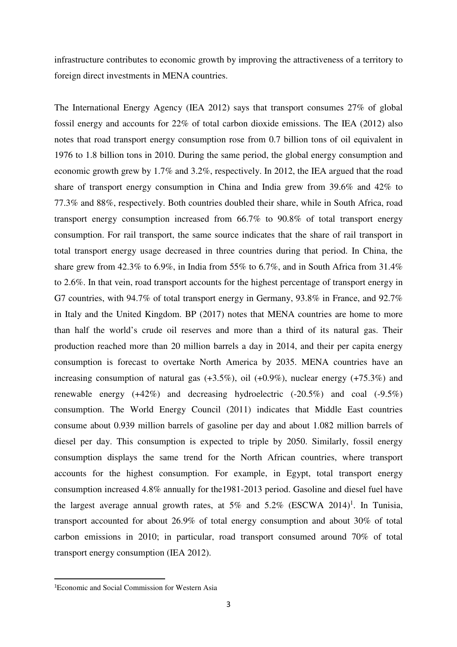infrastructure contributes to economic growth by improving the attractiveness of a territory to foreign direct investments in MENA countries.

The International Energy Agency (IEA 2012) says that transport consumes 27% of global fossil energy and accounts for 22% of total carbon dioxide emissions. The IEA (2012) also notes that road transport energy consumption rose from 0.7 billion tons of oil equivalent in 1976 to 1.8 billion tons in 2010. During the same period, the global energy consumption and economic growth grew by 1.7% and 3.2%, respectively. In 2012, the IEA argued that the road share of transport energy consumption in China and India grew from 39.6% and 42% to 77.3% and 88%, respectively. Both countries doubled their share, while in South Africa, road transport energy consumption increased from 66.7% to 90.8% of total transport energy consumption. For rail transport, the same source indicates that the share of rail transport in total transport energy usage decreased in three countries during that period. In China, the share grew from 42.3% to 6.9%, in India from 55% to 6.7%, and in South Africa from 31.4% to 2.6%. In that vein, road transport accounts for the highest percentage of transport energy in G7 countries, with 94.7% of total transport energy in Germany, 93.8% in France, and 92.7% in Italy and the United Kingdom. BP (2017) notes that MENA countries are home to more than half the world's crude oil reserves and more than a third of its natural gas. Their production reached more than 20 million barrels a day in 2014, and their per capita energy consumption is forecast to overtake North America by 2035. MENA countries have an increasing consumption of natural gas  $(+3.5\%)$ , oil  $(+0.9\%)$ , nuclear energy  $(+75.3\%)$  and renewable energy  $(+42\%)$  and decreasing hydroelectric  $(-20.5\%)$  and coal  $(-9.5\%)$ consumption. The World Energy Council (2011) indicates that Middle East countries consume about 0.939 million barrels of gasoline per day and about 1.082 million barrels of diesel per day. This consumption is expected to triple by 2050. Similarly, fossil energy consumption displays the same trend for the North African countries, where transport accounts for the highest consumption. For example, in Egypt, total transport energy consumption increased 4.8% annually for the1981-2013 period. Gasoline and diesel fuel have the largest average annual growth rates, at 5% and  $5.2\%$  (ESCWA 2014)<sup>1</sup>. In Tunisia, transport accounted for about 26.9% of total energy consumption and about 30% of total carbon emissions in 2010; in particular, road transport consumed around 70% of total transport energy consumption (IEA 2012).

l

<sup>&</sup>lt;sup>1</sup>Economic and Social Commission for Western Asia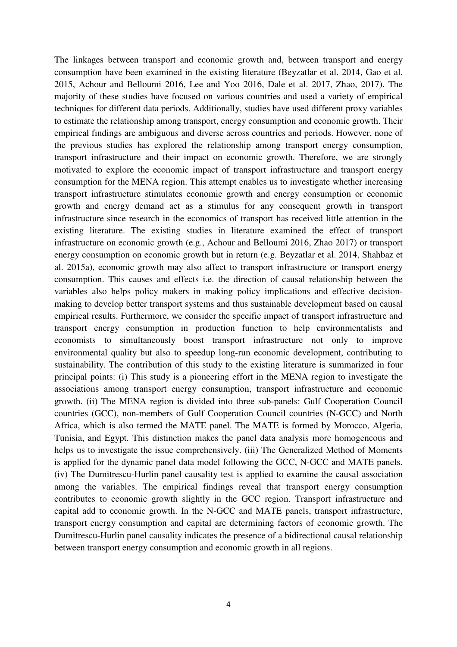The linkages between transport and economic growth and, between transport and energy consumption have been examined in the existing literature (Beyzatlar et al. 2014, Gao et al. 2015, Achour and Belloumi 2016, Lee and Yoo 2016, Dale et al. 2017, Zhao, 2017). The majority of these studies have focused on various countries and used a variety of empirical techniques for different data periods. Additionally, studies have used different proxy variables to estimate the relationship among transport, energy consumption and economic growth. Their empirical findings are ambiguous and diverse across countries and periods. However, none of the previous studies has explored the relationship among transport energy consumption, transport infrastructure and their impact on economic growth. Therefore, we are strongly motivated to explore the economic impact of transport infrastructure and transport energy consumption for the MENA region. This attempt enables us to investigate whether increasing transport infrastructure stimulates economic growth and energy consumption or economic growth and energy demand act as a stimulus for any consequent growth in transport infrastructure since research in the economics of transport has received little attention in the existing literature. The existing studies in literature examined the effect of transport infrastructure on economic growth (e.g., Achour and Belloumi 2016, Zhao 2017) or transport energy consumption on economic growth but in return (e.g. Beyzatlar et al. 2014, Shahbaz et al. 2015a), economic growth may also affect to transport infrastructure or transport energy consumption. This causes and effects i.e. the direction of causal relationship between the variables also helps policy makers in making policy implications and effective decisionmaking to develop better transport systems and thus sustainable development based on causal empirical results. Furthermore, we consider the specific impact of transport infrastructure and transport energy consumption in production function to help environmentalists and economists to simultaneously boost transport infrastructure not only to improve environmental quality but also to speedup long-run economic development, contributing to sustainability. The contribution of this study to the existing literature is summarized in four principal points: (i) This study is a pioneering effort in the MENA region to investigate the associations among transport energy consumption, transport infrastructure and economic growth. (ii) The MENA region is divided into three sub-panels: Gulf Cooperation Council countries (GCC), non-members of Gulf Cooperation Council countries (N-GCC) and North Africa, which is also termed the MATE panel. The MATE is formed by Morocco, Algeria, Tunisia, and Egypt. This distinction makes the panel data analysis more homogeneous and helps us to investigate the issue comprehensively. (iii) The Generalized Method of Moments is applied for the dynamic panel data model following the GCC, N-GCC and MATE panels. (iv) The Dumitrescu-Hurlin panel causality test is applied to examine the causal association among the variables. The empirical findings reveal that transport energy consumption contributes to economic growth slightly in the GCC region. Transport infrastructure and capital add to economic growth. In the N-GCC and MATE panels, transport infrastructure, transport energy consumption and capital are determining factors of economic growth. The Dumitrescu-Hurlin panel causality indicates the presence of a bidirectional causal relationship between transport energy consumption and economic growth in all regions.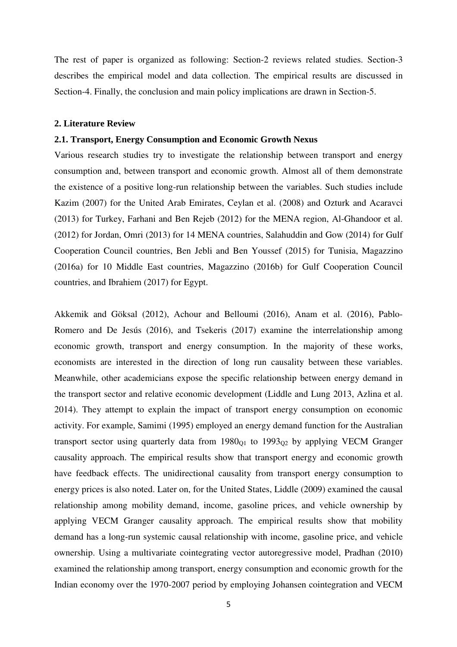The rest of paper is organized as following: Section-2 reviews related studies. Section-3 describes the empirical model and data collection. The empirical results are discussed in Section-4. Finally, the conclusion and main policy implications are drawn in Section-5.

# **2. Literature Review**

# **2.1. Transport, Energy Consumption and Economic Growth Nexus**

Various research studies try to investigate the relationship between transport and energy consumption and, between transport and economic growth. Almost all of them demonstrate the existence of a positive long-run relationship between the variables. Such studies include Kazim (2007) for the United Arab Emirates, Ceylan et al. (2008) and Ozturk and Acaravci (2013) for Turkey, Farhani and Ben Rejeb (2012) for the MENA region, Al-Ghandoor et al. (2012) for Jordan, Omri (2013) for 14 MENA countries, Salahuddin and Gow (2014) for Gulf Cooperation Council countries, Ben Jebli and Ben Youssef (2015) for Tunisia, Magazzino (2016a) for 10 Middle East countries, Magazzino (2016b) for Gulf Cooperation Council countries, and Ibrahiem (2017) for Egypt.

Akkemik and Göksal (2012), Achour and Belloumi (2016), Anam et al. (2016), Pablo-Romero and De Jesús (2016), and Tsekeris (2017) examine the interrelationship among economic growth, transport and energy consumption. In the majority of these works, economists are interested in the direction of long run causality between these variables. Meanwhile, other academicians expose the specific relationship between energy demand in the transport sector and relative economic development (Liddle and Lung 2013, Azlina et al. 2014). They attempt to explain the impact of transport energy consumption on economic activity. For example, Samimi (1995) employed an energy demand function for the Australian transport sector using quarterly data from  $1980<sub>01</sub>$  to  $1993<sub>02</sub>$  by applying VECM Granger causality approach. The empirical results show that transport energy and economic growth have feedback effects. The unidirectional causality from transport energy consumption to energy prices is also noted. Later on, for the United States, Liddle (2009) examined the causal relationship among mobility demand, income, gasoline prices, and vehicle ownership by applying VECM Granger causality approach. The empirical results show that mobility demand has a long-run systemic causal relationship with income, gasoline price, and vehicle ownership. Using a multivariate cointegrating vector autoregressive model, Pradhan (2010) examined the relationship among transport, energy consumption and economic growth for the Indian economy over the 1970-2007 period by employing Johansen cointegration and VECM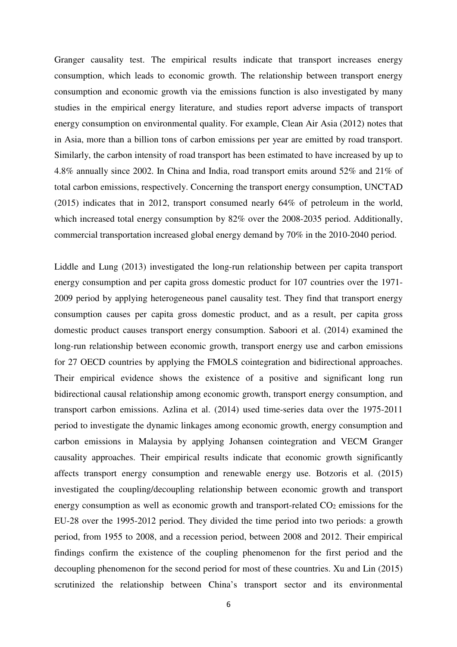Granger causality test. The empirical results indicate that transport increases energy consumption, which leads to economic growth. The relationship between transport energy consumption and economic growth via the emissions function is also investigated by many studies in the empirical energy literature, and studies report adverse impacts of transport energy consumption on environmental quality. For example, Clean Air Asia (2012) notes that in Asia, more than a billion tons of carbon emissions per year are emitted by road transport. Similarly, the carbon intensity of road transport has been estimated to have increased by up to 4.8% annually since 2002. In China and India, road transport emits around 52% and 21% of total carbon emissions, respectively. Concerning the transport energy consumption, UNCTAD (2015) indicates that in 2012, transport consumed nearly 64% of petroleum in the world, which increased total energy consumption by 82% over the 2008-2035 period. Additionally, commercial transportation increased global energy demand by 70% in the 2010-2040 period.

Liddle and Lung (2013) investigated the long-run relationship between per capita transport energy consumption and per capita gross domestic product for 107 countries over the 1971- 2009 period by applying heterogeneous panel causality test. They find that transport energy consumption causes per capita gross domestic product, and as a result, per capita gross domestic product causes transport energy consumption. Saboori et al. (2014) examined the long-run relationship between economic growth, transport energy use and carbon emissions for 27 OECD countries by applying the FMOLS cointegration and bidirectional approaches. Their empirical evidence shows the existence of a positive and significant long run bidirectional causal relationship among economic growth, transport energy consumption, and transport carbon emissions. Azlina et al. (2014) used time-series data over the 1975-2011 period to investigate the dynamic linkages among economic growth, energy consumption and carbon emissions in Malaysia by applying Johansen cointegration and VECM Granger causality approaches. Their empirical results indicate that economic growth significantly affects transport energy consumption and renewable energy use. Botzoris et al. (2015) investigated the coupling/decoupling relationship between economic growth and transport energy consumption as well as economic growth and transport-related  $CO<sub>2</sub>$  emissions for the EU-28 over the 1995-2012 period. They divided the time period into two periods: a growth period, from 1955 to 2008, and a recession period, between 2008 and 2012. Their empirical findings confirm the existence of the coupling phenomenon for the first period and the decoupling phenomenon for the second period for most of these countries. Xu and Lin (2015) scrutinized the relationship between China's transport sector and its environmental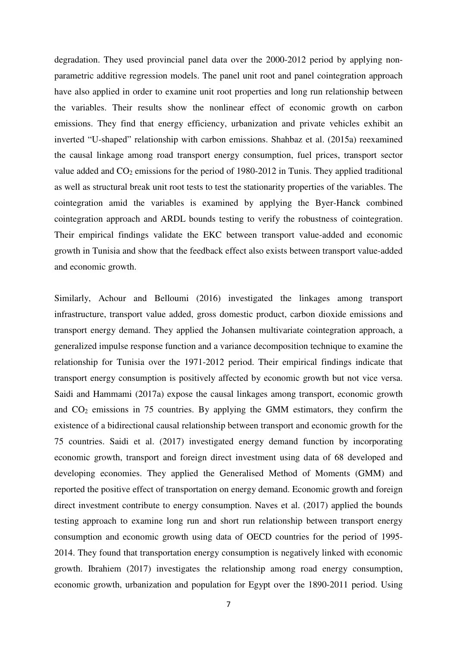degradation. They used provincial panel data over the 2000-2012 period by applying nonparametric additive regression models. The panel unit root and panel cointegration approach have also applied in order to examine unit root properties and long run relationship between the variables. Their results show the nonlinear effect of economic growth on carbon emissions. They find that energy efficiency, urbanization and private vehicles exhibit an inverted "U-shaped" relationship with carbon emissions. Shahbaz et al. (2015a) reexamined the causal linkage among road transport energy consumption, fuel prices, transport sector value added and CO<sub>2</sub> emissions for the period of 1980-2012 in Tunis. They applied traditional as well as structural break unit root tests to test the stationarity properties of the variables. The cointegration amid the variables is examined by applying the Byer-Hanck combined cointegration approach and ARDL bounds testing to verify the robustness of cointegration. Their empirical findings validate the EKC between transport value-added and economic growth in Tunisia and show that the feedback effect also exists between transport value-added and economic growth.

Similarly, Achour and Belloumi (2016) investigated the linkages among transport infrastructure, transport value added, gross domestic product, carbon dioxide emissions and transport energy demand. They applied the Johansen multivariate cointegration approach, a generalized impulse response function and a variance decomposition technique to examine the relationship for Tunisia over the 1971-2012 period. Their empirical findings indicate that transport energy consumption is positively affected by economic growth but not vice versa. Saidi and Hammami (2017a) expose the causal linkages among transport, economic growth and  $CO<sub>2</sub>$  emissions in 75 countries. By applying the GMM estimators, they confirm the existence of a bidirectional causal relationship between transport and economic growth for the 75 countries. Saidi et al. (2017) investigated energy demand function by incorporating economic growth, transport and foreign direct investment using data of 68 developed and developing economies. They applied the Generalised Method of Moments (GMM) and reported the positive effect of transportation on energy demand. Economic growth and foreign direct investment contribute to energy consumption. Naves et al. (2017) applied the bounds testing approach to examine long run and short run relationship between transport energy consumption and economic growth using data of OECD countries for the period of 1995- 2014. They found that transportation energy consumption is negatively linked with economic growth. Ibrahiem (2017) investigates the relationship among road energy consumption, economic growth, urbanization and population for Egypt over the 1890-2011 period. Using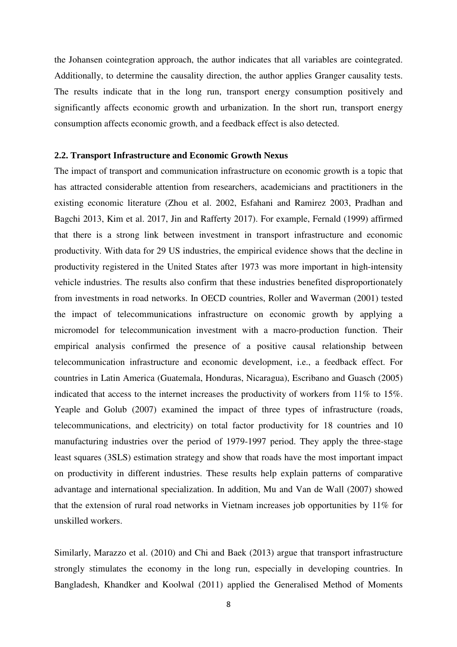the Johansen cointegration approach, the author indicates that all variables are cointegrated. Additionally, to determine the causality direction, the author applies Granger causality tests. The results indicate that in the long run, transport energy consumption positively and significantly affects economic growth and urbanization. In the short run, transport energy consumption affects economic growth, and a feedback effect is also detected.

#### **2.2. Transport Infrastructure and Economic Growth Nexus**

The impact of transport and communication infrastructure on economic growth is a topic that has attracted considerable attention from researchers, academicians and practitioners in the existing economic literature (Zhou et al. 2002, Esfahani and Ramirez 2003, Pradhan and Bagchi 2013, Kim et al. 2017, Jin and Rafferty 2017). For example, Fernald (1999) affirmed that there is a strong link between investment in transport infrastructure and economic productivity. With data for 29 US industries, the empirical evidence shows that the decline in productivity registered in the United States after 1973 was more important in high-intensity vehicle industries. The results also confirm that these industries benefited disproportionately from investments in road networks. In OECD countries, Roller and Waverman (2001) tested the impact of telecommunications infrastructure on economic growth by applying a micromodel for telecommunication investment with a macro-production function. Their empirical analysis confirmed the presence of a positive causal relationship between telecommunication infrastructure and economic development, i.e., a feedback effect. For countries in Latin America (Guatemala, Honduras, Nicaragua), Escribano and Guasch (2005) indicated that access to the internet increases the productivity of workers from  $11\%$  to  $15\%$ . Yeaple and Golub (2007) examined the impact of three types of infrastructure (roads, telecommunications, and electricity) on total factor productivity for 18 countries and 10 manufacturing industries over the period of 1979-1997 period. They apply the three-stage least squares (3SLS) estimation strategy and show that roads have the most important impact on productivity in different industries. These results help explain patterns of comparative advantage and international specialization. In addition, Mu and Van de Wall (2007) showed that the extension of rural road networks in Vietnam increases job opportunities by 11% for unskilled workers.

Similarly, Marazzo et al. (2010) and Chi and Baek (2013) argue that transport infrastructure strongly stimulates the economy in the long run, especially in developing countries. In Bangladesh, Khandker and Koolwal (2011) applied the Generalised Method of Moments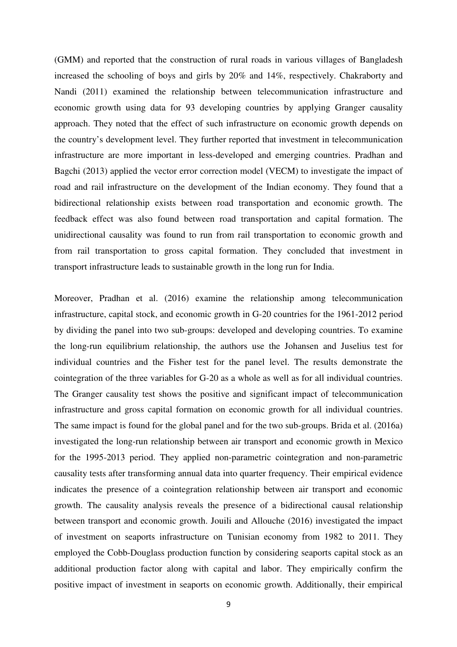(GMM) and reported that the construction of rural roads in various villages of Bangladesh increased the schooling of boys and girls by 20% and 14%, respectively. Chakraborty and Nandi (2011) examined the relationship between telecommunication infrastructure and economic growth using data for 93 developing countries by applying Granger causality approach. They noted that the effect of such infrastructure on economic growth depends on the country's development level. They further reported that investment in telecommunication infrastructure are more important in less-developed and emerging countries. Pradhan and Bagchi (2013) applied the vector error correction model (VECM) to investigate the impact of road and rail infrastructure on the development of the Indian economy. They found that a bidirectional relationship exists between road transportation and economic growth. The feedback effect was also found between road transportation and capital formation. The unidirectional causality was found to run from rail transportation to economic growth and from rail transportation to gross capital formation. They concluded that investment in transport infrastructure leads to sustainable growth in the long run for India.

Moreover, Pradhan et al. (2016) examine the relationship among telecommunication infrastructure, capital stock, and economic growth in G-20 countries for the 1961-2012 period by dividing the panel into two sub-groups: developed and developing countries. To examine the long-run equilibrium relationship, the authors use the Johansen and Juselius test for individual countries and the Fisher test for the panel level. The results demonstrate the cointegration of the three variables for G-20 as a whole as well as for all individual countries. The Granger causality test shows the positive and significant impact of telecommunication infrastructure and gross capital formation on economic growth for all individual countries. The same impact is found for the global panel and for the two sub-groups. Brida et al. (2016a) investigated the long-run relationship between air transport and economic growth in Mexico for the 1995-2013 period. They applied non-parametric cointegration and non-parametric causality tests after transforming annual data into quarter frequency. Their empirical evidence indicates the presence of a cointegration relationship between air transport and economic growth. The causality analysis reveals the presence of a bidirectional causal relationship between transport and economic growth. Jouili and Allouche (2016) investigated the impact of investment on seaports infrastructure on Tunisian economy from 1982 to 2011. They employed the Cobb-Douglass production function by considering seaports capital stock as an additional production factor along with capital and labor. They empirically confirm the positive impact of investment in seaports on economic growth. Additionally, their empirical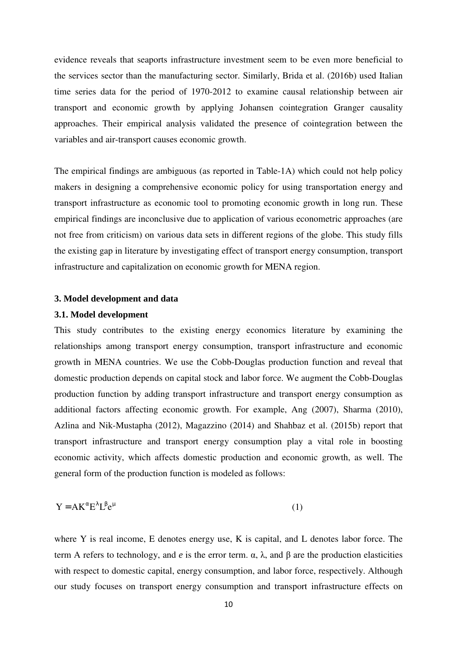evidence reveals that seaports infrastructure investment seem to be even more beneficial to the services sector than the manufacturing sector. Similarly, Brida et al. (2016b) used Italian time series data for the period of 1970-2012 to examine causal relationship between air transport and economic growth by applying Johansen cointegration Granger causality approaches. Their empirical analysis validated the presence of cointegration between the variables and air-transport causes economic growth.

The empirical findings are ambiguous (as reported in Table-1A) which could not help policy makers in designing a comprehensive economic policy for using transportation energy and transport infrastructure as economic tool to promoting economic growth in long run. These empirical findings are inconclusive due to application of various econometric approaches (are not free from criticism) on various data sets in different regions of the globe. This study fills the existing gap in literature by investigating effect of transport energy consumption, transport infrastructure and capitalization on economic growth for MENA region.

# **3. Model development and data**

#### **3.1. Model development**

This study contributes to the existing energy economics literature by examining the relationships among transport energy consumption, transport infrastructure and economic growth in MENA countries. We use the Cobb-Douglas production function and reveal that domestic production depends on capital stock and labor force. We augment the Cobb-Douglas production function by adding transport infrastructure and transport energy consumption as additional factors affecting economic growth. For example, Ang (2007), Sharma (2010), Azlina and Nik-Mustapha (2012), Magazzino (2014) and Shahbaz et al. (2015b) report that transport infrastructure and transport energy consumption play a vital role in boosting economic activity, which affects domestic production and economic growth, as well. The general form of the production function is modeled as follows:

$$
Y = AK^{\alpha}E^{\lambda}L^{\beta}e^{\mu}
$$
 (1)

where Y is real income, E denotes energy use, K is capital, and L denotes labor force. The term A refers to technology, and *e* is the error term. α,  $\lambda$ , and  $\beta$  are the production elasticities with respect to domestic capital, energy consumption, and labor force, respectively. Although our study focuses on transport energy consumption and transport infrastructure effects on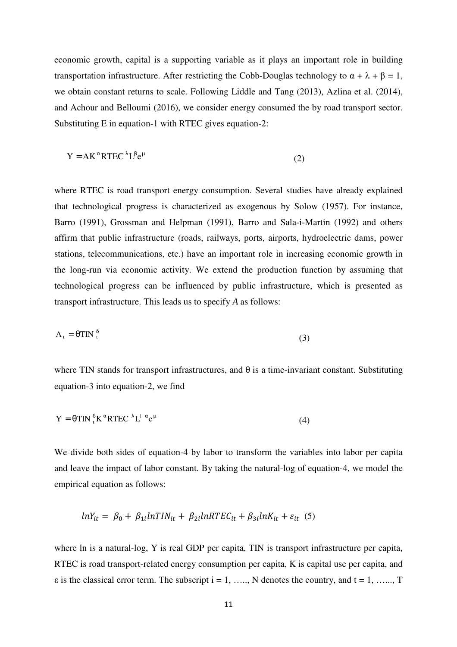economic growth, capital is a supporting variable as it plays an important role in building transportation infrastructure. After restricting the Cobb-Douglas technology to  $α + λ + β = 1$ , we obtain constant returns to scale. Following Liddle and Tang (2013), Azlina et al. (2014), and Achour and Belloumi (2016), we consider energy consumed the by road transport sector. Substituting E in equation-1 with RTEC gives equation-2:

$$
Y = AK^{\alpha}RTEC^{\lambda}L^{\beta}e^{\mu}
$$
 (2)

where RTEC is road transport energy consumption. Several studies have already explained that technological progress is characterized as exogenous by Solow (1957). For instance, Barro (1991), Grossman and Helpman (1991), Barro and Sala-i-Martin (1992) and others affirm that public infrastructure (roads, railways, ports, airports, hydroelectric dams, power stations, telecommunications, etc.) have an important role in increasing economic growth in the long-run via economic activity. We extend the production function by assuming that technological progress can be influenced by public infrastructure, which is presented as transport infrastructure. This leads us to specify *A* as follows:

$$
A_t = \theta TIN_t^{\delta} \tag{3}
$$

where TIN stands for transport infrastructures, and  $\theta$  is a time-invariant constant. Substituting equation-3 into equation-2, we find

$$
Y = \theta TIN_{t}^{\delta} K^{\alpha} RTEC^{\lambda} L^{1-\alpha} e^{\mu}
$$
 (4)

We divide both sides of equation-4 by labor to transform the variables into labor per capita and leave the impact of labor constant. By taking the natural-log of equation-4, we model the empirical equation as follows:

$$
lnY_{it} = \beta_0 + \beta_{1i} lnTIN_{it} + \beta_{2i} lnRTEC_{it} + \beta_{3i} lnK_{it} + \varepsilon_{it}
$$
 (5)

where ln is a natural-log, Y is real GDP per capita, TIN is transport infrastructure per capita, RTEC is road transport-related energy consumption per capita, K is capital use per capita, and  $\varepsilon$  is the classical error term. The subscript  $i = 1, \ldots, N$  denotes the country, and  $t = 1, \ldots, T$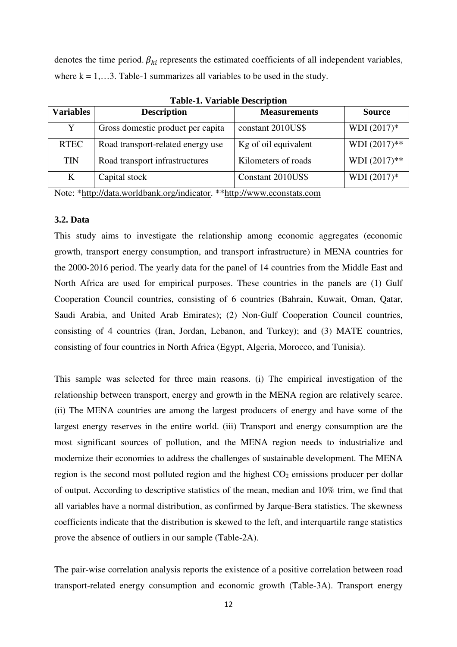denotes the time period.  $\beta_{ki}$  represents the estimated coefficients of all independent variables, where  $k = 1, \ldots 3$ . Table-1 summarizes all variables to be used in the study.

| Tumic II Tuliumic Descributul |                                   |                      |                 |  |  |  |  |  |  |
|-------------------------------|-----------------------------------|----------------------|-----------------|--|--|--|--|--|--|
| <b>Variables</b>              | <b>Description</b>                | <b>Measurements</b>  | <b>Source</b>   |  |  |  |  |  |  |
| Y                             | Gross domestic product per capita | constant 2010US\$    | $WDI(2017)*$    |  |  |  |  |  |  |
| <b>RTEC</b>                   | Road transport-related energy use | Kg of oil equivalent | $WDI(2017)**$   |  |  |  |  |  |  |
| <b>TIN</b>                    | Road transport infrastructures    | Kilometers of roads  | WDI $(2017)$ ** |  |  |  |  |  |  |
| K                             | Capital stock                     | Constant 2010US\$    | $WDI(2017)*$    |  |  |  |  |  |  |

**Table-1. Variable Description** 

Note: \*http://data.worldbank.org/indicator. \*\*http://www.econstats.com

## **3.2. Data**

This study aims to investigate the relationship among economic aggregates (economic growth, transport energy consumption, and transport infrastructure) in MENA countries for the 2000-2016 period. The yearly data for the panel of 14 countries from the Middle East and North Africa are used for empirical purposes. These countries in the panels are (1) Gulf Cooperation Council countries, consisting of 6 countries (Bahrain, Kuwait, Oman, Qatar, Saudi Arabia, and United Arab Emirates); (2) Non-Gulf Cooperation Council countries, consisting of 4 countries (Iran, Jordan, Lebanon, and Turkey); and (3) MATE countries, consisting of four countries in North Africa (Egypt, Algeria, Morocco, and Tunisia).

This sample was selected for three main reasons. (i) The empirical investigation of the relationship between transport, energy and growth in the MENA region are relatively scarce. (ii) The MENA countries are among the largest producers of energy and have some of the largest energy reserves in the entire world. (iii) Transport and energy consumption are the most significant sources of pollution, and the MENA region needs to industrialize and modernize their economies to address the challenges of sustainable development. The MENA region is the second most polluted region and the highest  $CO<sub>2</sub>$  emissions producer per dollar of output. According to descriptive statistics of the mean, median and 10% trim, we find that all variables have a normal distribution, as confirmed by Jarque-Bera statistics. The skewness coefficients indicate that the distribution is skewed to the left, and interquartile range statistics prove the absence of outliers in our sample (Table-2A).

The pair-wise correlation analysis reports the existence of a positive correlation between road transport-related energy consumption and economic growth (Table-3A). Transport energy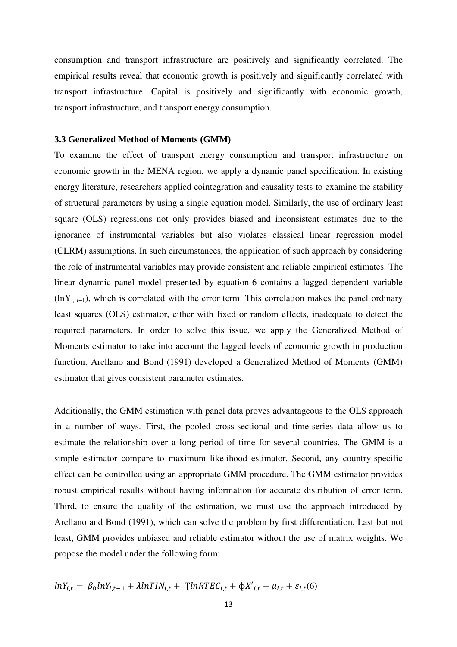consumption and transport infrastructure are positively and significantly correlated. The empirical results reveal that economic growth is positively and significantly correlated with transport infrastructure. Capital is positively and significantly with economic growth, transport infrastructure, and transport energy consumption.

#### **3.3 Generalized Method of Moments (GMM)**

To examine the effect of transport energy consumption and transport infrastructure on economic growth in the MENA region, we apply a dynamic panel specification. In existing energy literature, researchers applied cointegration and causality tests to examine the stability of structural parameters by using a single equation model. Similarly, the use of ordinary least square (OLS) regressions not only provides biased and inconsistent estimates due to the ignorance of instrumental variables but also violates classical linear regression model (CLRM) assumptions. In such circumstances, the application of such approach by considering the role of instrumental variables may provide consistent and reliable empirical estimates. The linear dynamic panel model presented by equation-6 contains a lagged dependent variable (lnY*i, t*−1), which is correlated with the error term. This correlation makes the panel ordinary least squares (OLS) estimator, either with fixed or random effects, inadequate to detect the required parameters. In order to solve this issue, we apply the Generalized Method of Moments estimator to take into account the lagged levels of economic growth in production function. Arellano and Bond (1991) developed a Generalized Method of Moments (GMM) estimator that gives consistent parameter estimates.

Additionally, the GMM estimation with panel data proves advantageous to the OLS approach in a number of ways. First, the pooled cross-sectional and time-series data allow us to estimate the relationship over a long period of time for several countries. The GMM is a simple estimator compare to maximum likelihood estimator. Second, any country-specific effect can be controlled using an appropriate GMM procedure. The GMM estimator provides robust empirical results without having information for accurate distribution of error term. Third, to ensure the quality of the estimation, we must use the approach introduced by Arellano and Bond (1991), which can solve the problem by first differentiation. Last but not least, GMM provides unbiased and reliable estimator without the use of matrix weights. We propose the model under the following form:

$$
lnY_{i,t} = \beta_0 lnY_{i,t-1} + \lambda lnTIN_{i,t} + \mathcal{I}lnRTEC_{i,t} + \phi X'_{i,t} + \mu_{i,t} + \varepsilon_{i,t}(6)
$$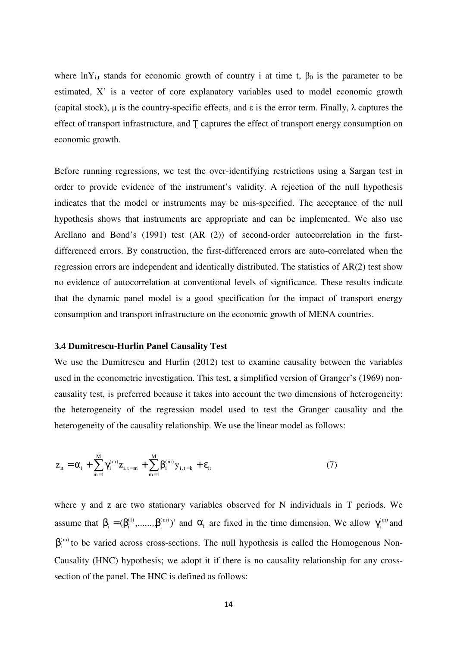where lnY<sub>i,t</sub> stands for economic growth of country i at time t,  $\beta_0$  is the parameter to be estimated, X' is a vector of core explanatory variables used to model economic growth (capital stock),  $\mu$  is the country-specific effects, and  $\varepsilon$  is the error term. Finally,  $\lambda$  captures the effect of transport infrastructure, and  $\top$  captures the effect of transport energy consumption on economic growth.

Before running regressions, we test the over-identifying restrictions using a Sargan test in order to provide evidence of the instrument's validity. A rejection of the null hypothesis indicates that the model or instruments may be mis-specified. The acceptance of the null hypothesis shows that instruments are appropriate and can be implemented. We also use Arellano and Bond's (1991) test (AR (2)) of second-order autocorrelation in the firstdifferenced errors. By construction, the first-differenced errors are auto-correlated when the regression errors are independent and identically distributed. The statistics of AR(2) test show no evidence of autocorrelation at conventional levels of significance. These results indicate that the dynamic panel model is a good specification for the impact of transport energy consumption and transport infrastructure on the economic growth of MENA countries.

#### **3.4 Dumitrescu-Hurlin Panel Causality Test**

We use the Dumitrescu and Hurlin (2012) test to examine causality between the variables used in the econometric investigation. This test, a simplified version of Granger's (1969) noncausality test, is preferred because it takes into account the two dimensions of heterogeneity: the heterogeneity of the regression model used to test the Granger causality and the heterogeneity of the causality relationship. We use the linear model as follows:

$$
z_{it} = \alpha_i + \sum_{m=1}^{M} \gamma_i^{(m)} z_{i, t-m} + \sum_{m=1}^{M} \beta_i^{(m)} y_{i, t-k} + \epsilon_{it}
$$
(7)

where y and z are two stationary variables observed for N individuals in T periods. We assume that  $\beta_i = (\beta_i^{(1)}, \dots, \beta_i^{(m)})'$  $\beta_i = (\beta_i^{(1)}, \dots, \beta_i^{(m)})'$  and  $\alpha_i$  are fixed in the time dimension. We allow  $\gamma_i^{(m)}$  and  $\beta_i^{(m)}$  to be varied across cross-sections. The null hypothesis is called the Homogenous Non-Causality (HNC) hypothesis; we adopt it if there is no causality relationship for any crosssection of the panel. The HNC is defined as follows: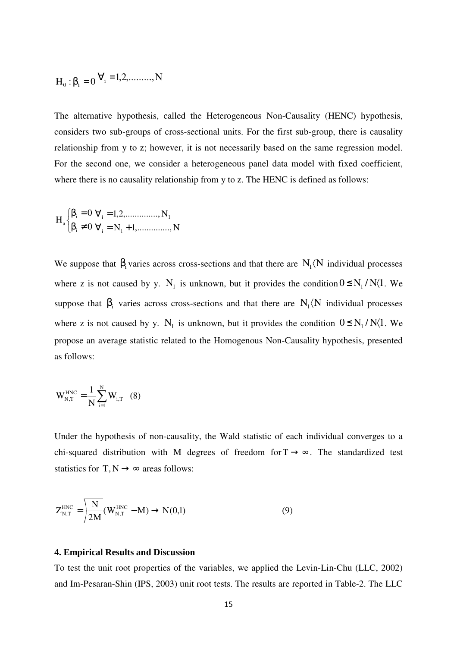$$
H_0: \beta_i = 0 \; \forall_i = 1, 2, \dots, N
$$

The alternative hypothesis, called the Heterogeneous Non-Causality (HENC) hypothesis, considers two sub-groups of cross-sectional units. For the first sub-group, there is causality relationship from y to z; however, it is not necessarily based on the same regression model. For the second one, we consider a heterogeneous panel data model with fixed coefficient, where there is no causality relationship from y to z. The HENC is defined as follows:

$$
H_a \begin{cases} \beta_i = 0 \ \forall_i = 1, 2, \dots, N_1 \\ \beta_i \neq 0 \ \forall_i = N_1 + 1, \dots, N \end{cases}
$$

We suppose that  $\beta_i$  varies across cross-sections and that there are  $N_1/N$  individual processes where z is not caused by y.  $N_1$  is unknown, but it provides the condition  $0 \le N_1/N\langle 1$ . We suppose that  $\beta_i$  varies across cross-sections and that there are  $N_i \langle N \rangle$  individual processes where z is not caused by y. N<sub>1</sub> is unknown, but it provides the condition  $0 \le N_1/N \langle 1$ . We propose an average statistic related to the Homogenous Non-Causality hypothesis, presented as follows:

$$
W_{\rm N,T}^{\rm HNC} = \!\frac{1}{N}\sum_{\rm i=1}^N W_{\rm i,T} \ \ \, (8)
$$

Under the hypothesis of non-causality, the Wald statistic of each individual converges to a chi-squared distribution with M degrees of freedom for  $T \rightarrow \infty$ . The standardized test statistics for  $T, N \rightarrow \infty$  areas follows:

$$
Z_{N,T}^{\text{HNC}} = \sqrt{\frac{N}{2M}} (W_{N,T}^{\text{HNC}} - M) \to N(0,1)
$$
 (9)

#### **4. Empirical Results and Discussion**

To test the unit root properties of the variables, we applied the Levin-Lin-Chu (LLC, 2002) and Im-Pesaran-Shin (IPS, 2003) unit root tests. The results are reported in Table-2. The LLC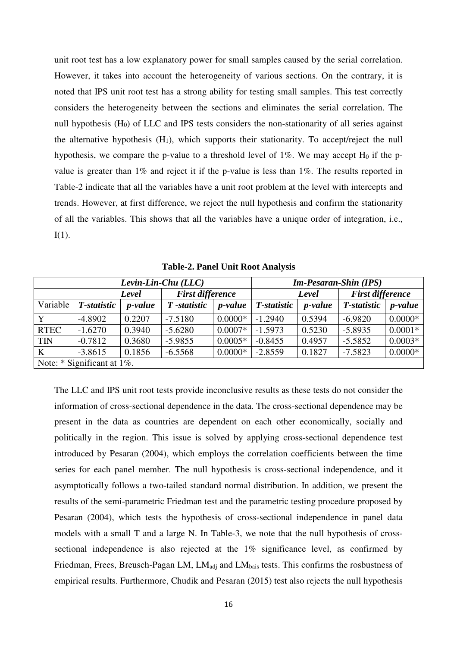unit root test has a low explanatory power for small samples caused by the serial correlation. However, it takes into account the heterogeneity of various sections. On the contrary, it is noted that IPS unit root test has a strong ability for testing small samples. This test correctly considers the heterogeneity between the sections and eliminates the serial correlation. The null hypothesis (H<sub>0</sub>) of LLC and IPS tests considers the non-stationarity of all series against the alternative hypothesis  $(H_1)$ , which supports their stationarity. To accept/reject the null hypothesis, we compare the p-value to a threshold level of  $1\%$ . We may accept H<sub>0</sub> if the pvalue is greater than 1% and reject it if the p-value is less than 1%. The results reported in Table-2 indicate that all the variables have a unit root problem at the level with intercepts and trends. However, at first difference, we reject the null hypothesis and confirm the stationarity of all the variables. This shows that all the variables have a unique order of integration, i.e.,  $I(1)$ .

|             |                              |                 | Levin-Lin-Chu $(LLC)$   |                 |             | <b>Im-Pesaran-Shin (IPS)</b> |                         |                 |  |
|-------------|------------------------------|-----------------|-------------------------|-----------------|-------------|------------------------------|-------------------------|-----------------|--|
|             |                              | Level           | <b>First difference</b> |                 | Level       |                              | <b>First difference</b> |                 |  |
| Variable    | T-statistic                  | <i>p</i> -value | T-statistic             | <i>p</i> -value | T-statistic | <i>p</i> -value              | T-statistic             | <i>p</i> -value |  |
| Y           | $-4.8902$                    | 0.2207          | $-7.5180$               | $0.0000*$       | $-1.2940$   | 0.5394                       | $-6.9820$               | $0.0000*$       |  |
| <b>RTEC</b> | $-1.6270$                    | 0.3940          | $-5.6280$               | $0.0007*$       | $-1.5973$   | 0.5230                       | $-5.8935$               | $0.0001*$       |  |
| <b>TIN</b>  | $-0.7812$                    | 0.3680          | $-5.9855$               | $0.0005*$       | $-0.8455$   | 0.4957                       | $-5.5852$               | $0.0003*$       |  |
| K           | $-3.8615$                    | 0.1856          | $-6.5568$               | $0.0000*$       | $-2.8559$   | 0.1827                       | $-7.5823$               | $0.0000*$       |  |
|             | Note: $*$ Significant at 1%. |                 |                         |                 |             |                              |                         |                 |  |

**Table-2. Panel Unit Root Analysis** 

The LLC and IPS unit root tests provide inconclusive results as these tests do not consider the information of cross-sectional dependence in the data. The cross-sectional dependence may be present in the data as countries are dependent on each other economically, socially and politically in the region. This issue is solved by applying cross-sectional dependence test introduced by Pesaran (2004), which employs the correlation coefficients between the time series for each panel member. The null hypothesis is cross-sectional independence, and it asymptotically follows a two-tailed standard normal distribution. In addition, we present the results of the semi-parametric Friedman test and the parametric testing procedure proposed by Pesaran (2004), which tests the hypothesis of cross-sectional independence in panel data models with a small T and a large N. In Table-3, we note that the null hypothesis of crosssectional independence is also rejected at the 1% significance level, as confirmed by Friedman, Frees, Breusch-Pagan LM, LM<sub>adj</sub> and LM<sub>bais</sub> tests. This confirms the rosbustness of empirical results. Furthermore, Chudik and Pesaran (2015) test also rejects the null hypothesis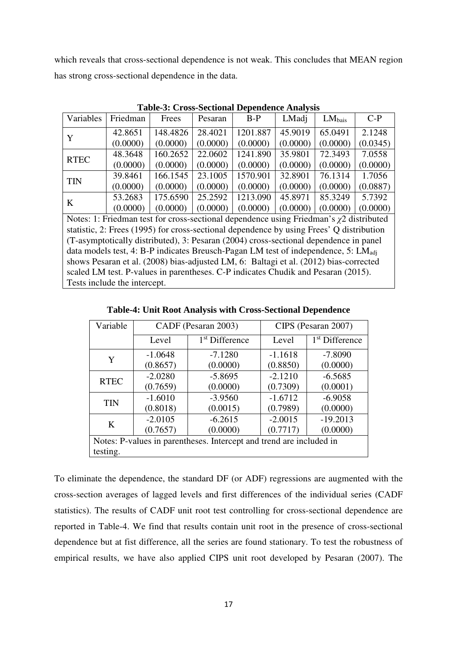which reveals that cross-sectional dependence is not weak. This concludes that MEAN region has strong cross-sectional dependence in the data.

| Variables   | Friedman | Frees    | Pesaran  | $B-P$    | LMadj    | $LM_{\text{basis}}$ | $C-P$    |
|-------------|----------|----------|----------|----------|----------|---------------------|----------|
| Y           | 42.8651  | 148.4826 | 28.4021  | 1201.887 | 45.9019  | 65.0491             | 2.1248   |
|             | (0.0000) | (0.0000) | (0.0000) | (0.0000) | (0.0000) | (0.0000)            | (0.0345) |
| <b>RTEC</b> | 48.3648  | 160.2652 | 22.0602  | 1241.890 | 35.9801  | 72.3493             | 7.0558   |
|             | (0.0000) | (0.0000) | (0.0000) | (0.0000) | (0.0000) | (0.0000)            | (0.0000) |
| <b>TIN</b>  | 39.8461  | 166.1545 | 23.1005  | 1570.901 | 32.8901  | 76.1314             | 1.7056   |
|             | (0.0000) | (0.0000) | (0.0000) | (0.0000) | (0.0000) | (0.0000)            | (0.0887) |
| K           | 53.2683  | 175.6590 | 25.2592  | 1213.090 | 45.8971  | 85.3249             | 5.7392   |
|             | (0.0000) | (0.0000) | (0.0000) | (0.0000) | (0.0000) | (0.0000)            | (0.0000) |

**Table-3: Cross-Sectional Dependence Analysis** 

Notes: 1: Friedman test for cross-sectional dependence using Friedman's *χ*2 distributed statistic, 2: Frees (1995) for cross-sectional dependence by using Frees' Q distribution (T-asymptotically distributed), 3: Pesaran (2004) cross-sectional dependence in panel data models test, 4: B-P indicates Breusch-Pagan LM test of independence, 5: LM<sub>adi</sub> shows Pesaran et al. (2008) bias-adjusted LM, 6: Baltagi et al. (2012) bias-corrected scaled LM test. P-values in parentheses. C-P indicates Chudik and Pesaran (2015). Tests include the intercept.

| Variable    |                                                                     | CADF (Pesaran 2003) | CIPS (Pesaran 2007) |                            |  |  |  |  |
|-------------|---------------------------------------------------------------------|---------------------|---------------------|----------------------------|--|--|--|--|
|             | 1 <sup>st</sup> Difference<br>Level                                 |                     | Level               | 1 <sup>st</sup> Difference |  |  |  |  |
| Y           | $-1.0648$                                                           | $-7.1280$           | $-1.1618$           | $-7.8090$                  |  |  |  |  |
|             | (0.8657)                                                            | (0.0000)            | (0.8850)            | (0.0000)                   |  |  |  |  |
| <b>RTEC</b> | $-2.0280$                                                           | $-5.8695$           | $-2.1210$           | $-6.5685$                  |  |  |  |  |
|             | (0.7659)                                                            | (0.0000)            | (0.7309)            | (0.0001)                   |  |  |  |  |
| <b>TIN</b>  | $-1.6010$                                                           | $-3.9560$           | $-1.6712$           | $-6.9058$                  |  |  |  |  |
|             | (0.8018)                                                            | (0.0015)            | (0.7989)            | (0.0000)                   |  |  |  |  |
| K           | $-2.0105$                                                           | $-6.2615$           | $-2.0015$           | $-19.2013$                 |  |  |  |  |
|             | (0.7657)                                                            | (0.0000)            | (0.7717)            | (0.0000)                   |  |  |  |  |
|             | Notes: P-values in parentheses. Intercept and trend are included in |                     |                     |                            |  |  |  |  |
| testing.    |                                                                     |                     |                     |                            |  |  |  |  |

**Table-4: Unit Root Analysis with Cross-Sectional Dependence** 

To eliminate the dependence, the standard DF (or ADF) regressions are augmented with the cross-section averages of lagged levels and first differences of the individual series (CADF statistics). The results of CADF unit root test controlling for cross-sectional dependence are reported in Table-4. We find that results contain unit root in the presence of cross-sectional dependence but at fist difference, all the series are found stationary. To test the robustness of empirical results, we have also applied CIPS unit root developed by Pesaran (2007). The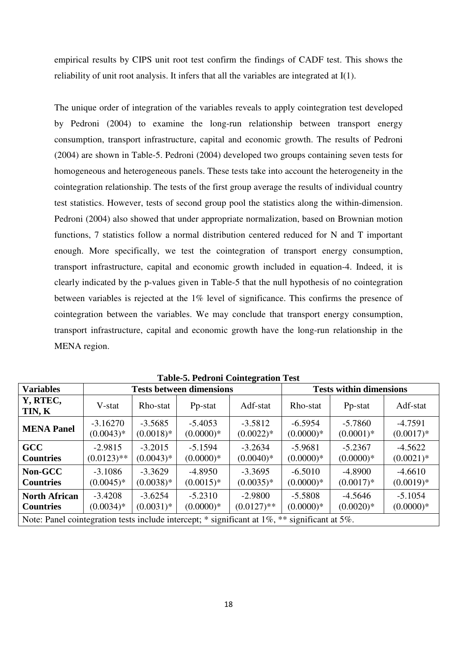empirical results by CIPS unit root test confirm the findings of CADF test. This shows the reliability of unit root analysis. It infers that all the variables are integrated at I(1).

The unique order of integration of the variables reveals to apply cointegration test developed by Pedroni (2004) to examine the long-run relationship between transport energy consumption, transport infrastructure, capital and economic growth. The results of Pedroni (2004) are shown in Table-5. Pedroni (2004) developed two groups containing seven tests for homogeneous and heterogeneous panels. These tests take into account the heterogeneity in the cointegration relationship. The tests of the first group average the results of individual country test statistics. However, tests of second group pool the statistics along the within-dimension. Pedroni (2004) also showed that under appropriate normalization, based on Brownian motion functions, 7 statistics follow a normal distribution centered reduced for N and T important enough. More specifically, we test the cointegration of transport energy consumption, transport infrastructure, capital and economic growth included in equation-4. Indeed, it is clearly indicated by the p-values given in Table-5 that the null hypothesis of no cointegration between variables is rejected at the 1% level of significance. This confirms the presence of cointegration between the variables. We may conclude that transport energy consumption, transport infrastructure, capital and economic growth have the long-run relationship in the MENA region.

| <b>Variables</b>                                                                                      |               |             | <b>Tests between dimensions</b> |               | <b>Tests within dimensions</b> |              |              |  |
|-------------------------------------------------------------------------------------------------------|---------------|-------------|---------------------------------|---------------|--------------------------------|--------------|--------------|--|
| Y, RTEC,<br>TIN, K                                                                                    | V-stat        | Rho-stat    | Pp-stat                         | Adf-stat      | Rho-stat                       | Pp-stat      | Adf-stat     |  |
| <b>MENA Panel</b>                                                                                     | $-3.16270$    | $-3.5685$   | $-5.4053$                       | $-3.5812$     | $-6.5954$                      | $-5.7860$    | $-4.7591$    |  |
|                                                                                                       | $(0.0043)*$   | $(0.0018)*$ | $(0.0000)*$                     | $(0.0022)*$   | $(0.0000)*$                    | $(0.0001)$ * | $(0.0017)*$  |  |
| <b>GCC</b>                                                                                            | $-2.9815$     | $-3.2015$   | $-5.1594$                       | $-3.2634$     | $-5.9681$                      | $-5.2367$    | $-4.5622$    |  |
| <b>Countries</b>                                                                                      | $(0.0123)$ ** | $(0.0043)*$ | $(0.0000)*$                     | $(0.0040)*$   | $(0.0000)*$                    | $(0.0000)*$  | $(0.0021)$ * |  |
| Non-GCC                                                                                               | $-3.1086$     | $-3.3629$   | $-4.8950$                       | $-3.3695$     | $-6.5010$                      | $-4.8900$    | $-4.6610$    |  |
| <b>Countries</b>                                                                                      | $(0.0045)*$   | $(0.0038)*$ | $(0.0015)*$                     | $(0.0035)*$   | $(0.0000)*$                    | $(0.0017)*$  | $(0.0019)*$  |  |
| <b>North African</b>                                                                                  | $-3.4208$     | $-3.6254$   | $-5.2310$                       | $-2.9800$     | $-5.5808$                      | $-4.5646$    | $-5.1054$    |  |
| <b>Countries</b>                                                                                      | $(0.0034)*$   | $(0.0031)*$ | $(0.0000)*$                     | $(0.0127)$ ** | $(0.0000)*$                    | $(0.0020)*$  | $(0.0000)*$  |  |
| Note: Panel cointegration tests include intercept; * significant at $1\%$ , ** significant at $5\%$ . |               |             |                                 |               |                                |              |              |  |

**Table-5. Pedroni Cointegration Test**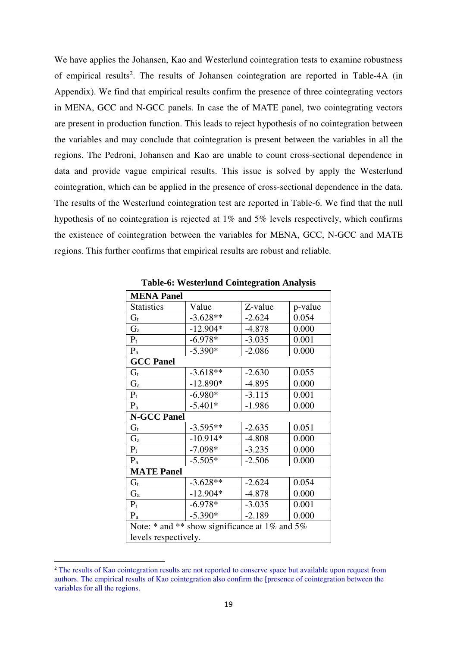We have applies the Johansen, Kao and Westerlund cointegration tests to examine robustness of empirical results<sup>2</sup>. The results of Johansen cointegration are reported in Table-4A (in Appendix). We find that empirical results confirm the presence of three cointegrating vectors in MENA, GCC and N-GCC panels. In case the of MATE panel, two cointegrating vectors are present in production function. This leads to reject hypothesis of no cointegration between the variables and may conclude that cointegration is present between the variables in all the regions. The Pedroni, Johansen and Kao are unable to count cross-sectional dependence in data and provide vague empirical results. This issue is solved by apply the Westerlund cointegration, which can be applied in the presence of cross-sectional dependence in the data. The results of the Westerlund cointegration test are reported in Table-6. We find that the null hypothesis of no cointegration is rejected at 1% and 5% levels respectively, which confirms the existence of cointegration between the variables for MENA, GCC, N-GCC and MATE regions. This further confirms that empirical results are robust and reliable.

| <b>MENA Panel</b>                                 |            |          |         |  |  |  |  |  |  |  |
|---------------------------------------------------|------------|----------|---------|--|--|--|--|--|--|--|
| <b>Statistics</b>                                 | Value      | Z-value  | p-value |  |  |  |  |  |  |  |
| $G_t$                                             | $-3.628**$ | $-2.624$ | 0.054   |  |  |  |  |  |  |  |
| $G_{a}$                                           | $-12.904*$ | $-4.878$ | 0.000   |  |  |  |  |  |  |  |
| $P_t$                                             | $-6.978*$  | $-3.035$ | 0.001   |  |  |  |  |  |  |  |
| $P_{a}$                                           | $-5.390*$  | $-2.086$ | 0.000   |  |  |  |  |  |  |  |
| <b>GCC Panel</b>                                  |            |          |         |  |  |  |  |  |  |  |
| $G_t$                                             | $-3.618**$ | $-2.630$ | 0.055   |  |  |  |  |  |  |  |
| $G_{a}$                                           | $-12.890*$ | $-4.895$ | 0.000   |  |  |  |  |  |  |  |
| $P_t$                                             | $-6.980*$  | $-3.115$ | 0.001   |  |  |  |  |  |  |  |
| $P_{a}$                                           | $-5.401*$  | $-1.986$ | 0.000   |  |  |  |  |  |  |  |
| <b>N-GCC Panel</b>                                |            |          |         |  |  |  |  |  |  |  |
| $G_t$                                             | $-3.595**$ | $-2.635$ | 0.051   |  |  |  |  |  |  |  |
| $G_{a}$                                           | $-10.914*$ | $-4.808$ | 0.000   |  |  |  |  |  |  |  |
| $P_t$                                             | $-7.098*$  | $-3.235$ | 0.000   |  |  |  |  |  |  |  |
| $P_{a}$                                           | $-5.505*$  | $-2.506$ | 0.000   |  |  |  |  |  |  |  |
| <b>MATE Panel</b>                                 |            |          |         |  |  |  |  |  |  |  |
| $G_t$                                             | $-3.628**$ | $-2.624$ | 0.054   |  |  |  |  |  |  |  |
| $G_{a}$                                           | $-12.904*$ | $-4.878$ | 0.000   |  |  |  |  |  |  |  |
| $P_t$                                             | $-6.978*$  | $-3.035$ | 0.001   |  |  |  |  |  |  |  |
| $P_{a}$                                           | $-5.390*$  | $-2.189$ | 0.000   |  |  |  |  |  |  |  |
| Note: $*$ and $**$ show significance at 1% and 5% |            |          |         |  |  |  |  |  |  |  |
| levels respectively.                              |            |          |         |  |  |  |  |  |  |  |

**Table-6: Westerlund Cointegration Analysis** 

 $\overline{a}$ 

<sup>&</sup>lt;sup>2</sup> The results of Kao cointegration results are not reported to conserve space but available upon request from authors. The empirical results of Kao cointegration also confirm the [presence of cointegration between the variables for all the regions.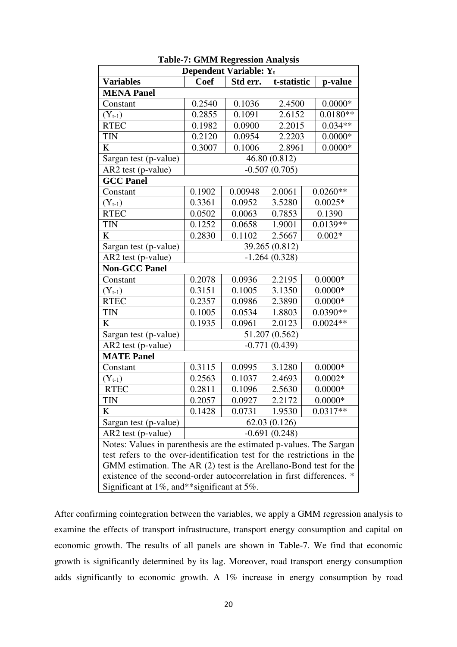| Dependent Variable: Yt                                                  |                 |          |                 |  |            |
|-------------------------------------------------------------------------|-----------------|----------|-----------------|--|------------|
| <b>Variables</b>                                                        | Coef            | Std err. | t-statistic     |  | p-value    |
| <b>MENA Panel</b>                                                       |                 |          |                 |  |            |
| Constant                                                                | 0.2540          | 0.1036   | 2.4500          |  | $0.0000*$  |
| $(Y_{t-1})$                                                             | 0.2855          | 0.1091   | 2.6152          |  | $0.0180**$ |
| <b>RTEC</b>                                                             | 0.1982          | 0.0900   | 2.2015          |  | $0.034**$  |
| <b>TIN</b>                                                              | 0.2120          | 0.0954   | 2.2203          |  | $0.0000*$  |
| K                                                                       | 0.3007          | 0.1006   | 2.8961          |  | $0.0000*$  |
| Sargan test (p-value)                                                   |                 |          | 46.80 (0.812)   |  |            |
| AR2 test (p-value)                                                      |                 |          | $-0.507(0.705)$ |  |            |
| <b>GCC Panel</b>                                                        |                 |          |                 |  |            |
| Constant                                                                | 0.1902          | 0.00948  | 2.0061          |  | $0.0260**$ |
| $(Y_{t-1})$                                                             | 0.3361          | 0.0952   | 3.5280          |  | $0.0025*$  |
| <b>RTEC</b>                                                             | 0.0502          | 0.0063   | 0.7853          |  | 0.1390     |
| <b>TIN</b>                                                              | 0.1252          | 0.0658   | 1.9001          |  | $0.0139**$ |
| K                                                                       | 0.2830          | 0.1102   | 2.5667          |  | $0.002*$   |
| Sargan test (p-value)                                                   |                 |          | 39.265 (0.812)  |  |            |
| AR2 test (p-value)                                                      | $-1.264(0.328)$ |          |                 |  |            |
| <b>Non-GCC Panel</b>                                                    |                 |          |                 |  |            |
| Constant                                                                | 0.2078          | 0.0936   | 2.2195          |  | $0.0000*$  |
| $(Y_{t-1})$                                                             | 0.3151          | 0.1005   | 3.1350          |  | $0.0000*$  |
| <b>RTEC</b>                                                             | 0.2357          | 0.0986   | 2.3890          |  | $0.0000*$  |
| <b>TIN</b>                                                              | 0.1005          | 0.0534   | 1.8803          |  | $0.0390**$ |
| K                                                                       | 0.1935          | 0.0961   | 2.0123          |  | $0.0024**$ |
| Sargan test (p-value)                                                   |                 |          | 51.207 (0.562)  |  |            |
| $\overline{AR}$ 2 test (p-value)                                        |                 |          | $-0.771(0.439)$ |  |            |
| <b>MATE Panel</b>                                                       |                 |          |                 |  |            |
| Constant                                                                | 0.3115          | 0.0995   | 3.1280          |  | $0.0000*$  |
| $(Y_{t-1})$                                                             | 0.2563          | 0.1037   | 2.4693          |  | $0.0002*$  |
| <b>RTEC</b>                                                             | 0.2811          | 0.1096   | 2.5630          |  | $0.0000*$  |
| <b>TIN</b>                                                              | 0.2057          | 0.0927   | 2.2172          |  | $0.0000*$  |
| K                                                                       | 0.1428          | 0.0731   | 1.9530          |  | $0.0317**$ |
| Sargan test (p-value)                                                   |                 |          | 62.03 (0.126)   |  |            |
| $-0.691(0.248)$<br>AR2 test (p-value)                                   |                 |          |                 |  |            |
| Notes: Values in parenthesis are the estimated p-values. The Sargan     |                 |          |                 |  |            |
| test refers to the over-identification test for the restrictions in the |                 |          |                 |  |            |
| GMM estimation. The AR (2) test is the Arellano-Bond test for the       |                 |          |                 |  |            |
| existence of the second-order autocorrelation in first differences. *   |                 |          |                 |  |            |
| Significant at $1\%$ , and**significant at $5\%$ .                      |                 |          |                 |  |            |

**Table-7: GMM Regression Analysis** 

After confirming cointegration between the variables, we apply a GMM regression analysis to examine the effects of transport infrastructure, transport energy consumption and capital on economic growth. The results of all panels are shown in Table-7. We find that economic growth is significantly determined by its lag. Moreover, road transport energy consumption adds significantly to economic growth. A 1% increase in energy consumption by road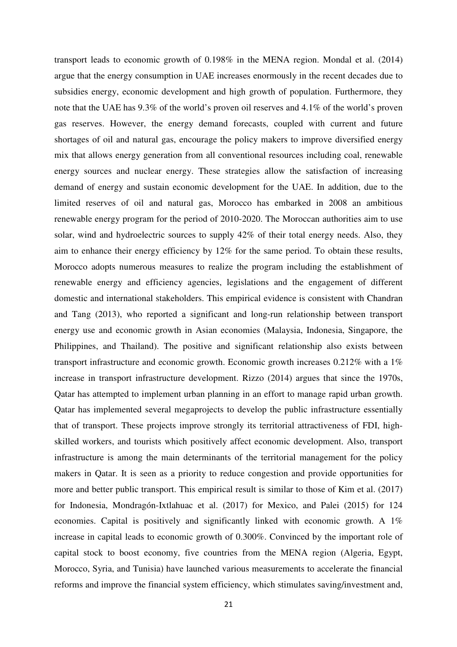transport leads to economic growth of 0.198% in the MENA region. Mondal et al. (2014) argue that the energy consumption in UAE increases enormously in the recent decades due to subsidies energy, economic development and high growth of population. Furthermore, they note that the UAE has 9.3% of the world's proven oil reserves and 4.1% of the world's proven gas reserves. However, the energy demand forecasts, coupled with current and future shortages of oil and natural gas, encourage the policy makers to improve diversified energy mix that allows energy generation from all conventional resources including coal, renewable energy sources and nuclear energy. These strategies allow the satisfaction of increasing demand of energy and sustain economic development for the UAE. In addition, due to the limited reserves of oil and natural gas, Morocco has embarked in 2008 an ambitious renewable energy program for the period of 2010-2020. The Moroccan authorities aim to use solar, wind and hydroelectric sources to supply 42% of their total energy needs. Also, they aim to enhance their energy efficiency by 12% for the same period. To obtain these results, Morocco adopts numerous measures to realize the program including the establishment of renewable energy and efficiency agencies, legislations and the engagement of different domestic and international stakeholders. This empirical evidence is consistent with Chandran and Tang (2013), who reported a significant and long-run relationship between transport energy use and economic growth in Asian economies (Malaysia, Indonesia, Singapore, the Philippines, and Thailand). The positive and significant relationship also exists between transport infrastructure and economic growth. Economic growth increases 0.212% with a 1% increase in transport infrastructure development. Rizzo (2014) argues that since the 1970s, Qatar has attempted to implement urban planning in an effort to manage rapid urban growth. Qatar has implemented several megaprojects to develop the public infrastructure essentially that of transport. These projects improve strongly its territorial attractiveness of FDI, highskilled workers, and tourists which positively affect economic development. Also, transport infrastructure is among the main determinants of the territorial management for the policy makers in Qatar. It is seen as a priority to reduce congestion and provide opportunities for more and better public transport. This empirical result is similar to those of Kim et al. (2017) for Indonesia, Mondragón-Ixtlahuac et al. (2017) for Mexico, and Palei (2015) for 124 economies. Capital is positively and significantly linked with economic growth. A 1% increase in capital leads to economic growth of 0.300%. Convinced by the important role of capital stock to boost economy, five countries from the MENA region (Algeria, Egypt, Morocco, Syria, and Tunisia) have launched various measurements to accelerate the financial reforms and improve the financial system efficiency, which stimulates saving/investment and,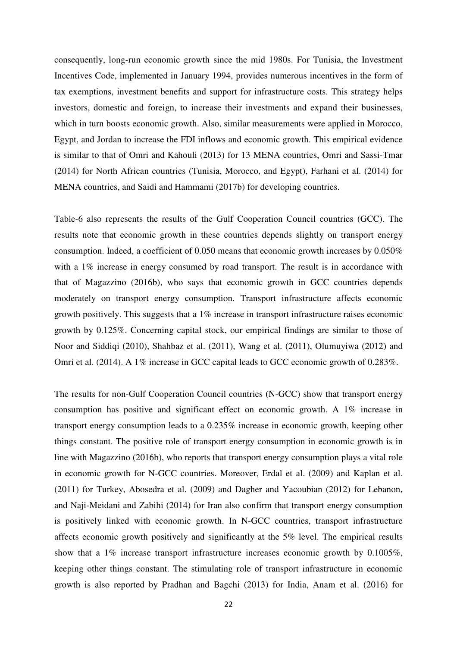consequently, long-run economic growth since the mid 1980s. For Tunisia, the Investment Incentives Code, implemented in January 1994, provides numerous incentives in the form of tax exemptions, investment benefits and support for infrastructure costs. This strategy helps investors, domestic and foreign, to increase their investments and expand their businesses, which in turn boosts economic growth. Also, similar measurements were applied in Morocco, Egypt, and Jordan to increase the FDI inflows and economic growth. This empirical evidence is similar to that of Omri and Kahouli (2013) for 13 MENA countries, Omri and Sassi-Tmar (2014) for North African countries (Tunisia, Morocco, and Egypt), Farhani et al. (2014) for MENA countries, and Saidi and Hammami (2017b) for developing countries.

Table-6 also represents the results of the Gulf Cooperation Council countries (GCC). The results note that economic growth in these countries depends slightly on transport energy consumption. Indeed, a coefficient of 0.050 means that economic growth increases by 0.050% with a 1% increase in energy consumed by road transport. The result is in accordance with that of Magazzino (2016b), who says that economic growth in GCC countries depends moderately on transport energy consumption. Transport infrastructure affects economic growth positively. This suggests that a 1% increase in transport infrastructure raises economic growth by 0.125%. Concerning capital stock, our empirical findings are similar to those of Noor and Siddiqi (2010), Shahbaz et al. (2011), Wang et al. (2011), Olumuyiwa (2012) and Omri et al. (2014). A 1% increase in GCC capital leads to GCC economic growth of 0.283%.

The results for non-Gulf Cooperation Council countries (N-GCC) show that transport energy consumption has positive and significant effect on economic growth. A 1% increase in transport energy consumption leads to a 0.235% increase in economic growth, keeping other things constant. The positive role of transport energy consumption in economic growth is in line with Magazzino (2016b), who reports that transport energy consumption plays a vital role in economic growth for N-GCC countries. Moreover, Erdal et al. (2009) and Kaplan et al. (2011) for Turkey, Abosedra et al. (2009) and Dagher and Yacoubian (2012) for Lebanon, and Naji-Meidani and Zabihi (2014) for Iran also confirm that transport energy consumption is positively linked with economic growth. In N-GCC countries, transport infrastructure affects economic growth positively and significantly at the 5% level. The empirical results show that a 1% increase transport infrastructure increases economic growth by 0.1005%, keeping other things constant. The stimulating role of transport infrastructure in economic growth is also reported by Pradhan and Bagchi (2013) for India, Anam et al. (2016) for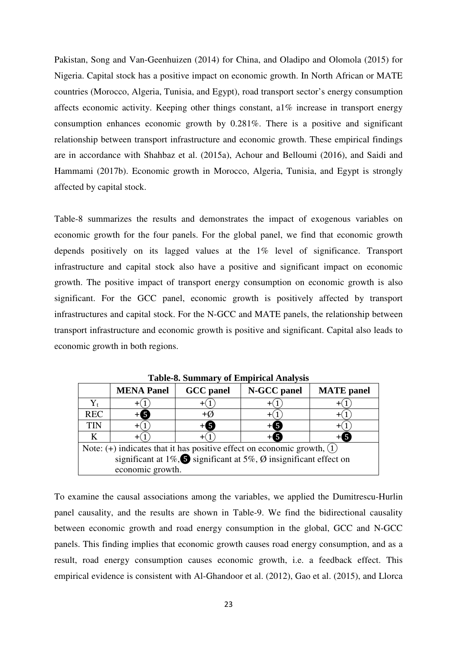Pakistan, Song and Van-Geenhuizen (2014) for China, and Oladipo and Olomola (2015) for Nigeria. Capital stock has a positive impact on economic growth. In North African or MATE countries (Morocco, Algeria, Tunisia, and Egypt), road transport sector's energy consumption affects economic activity. Keeping other things constant, a1% increase in transport energy consumption enhances economic growth by 0.281%. There is a positive and significant relationship between transport infrastructure and economic growth. These empirical findings are in accordance with Shahbaz et al. (2015a), Achour and Belloumi (2016), and Saidi and Hammami (2017b). Economic growth in Morocco, Algeria, Tunisia, and Egypt is strongly affected by capital stock.

Table-8 summarizes the results and demonstrates the impact of exogenous variables on economic growth for the four panels. For the global panel, we find that economic growth depends positively on its lagged values at the 1% level of significance. Transport infrastructure and capital stock also have a positive and significant impact on economic growth. The positive impact of transport energy consumption on economic growth is also significant. For the GCC panel, economic growth is positively affected by transport infrastructures and capital stock. For the N-GCC and MATE panels, the relationship between transport infrastructure and economic growth is positive and significant. Capital also leads to economic growth in both regions.

|               | <b>MENA Panel</b>                                                                   | <b>GCC</b> panel | N-GCC panel                                                               | <b>MATE</b> panel |  |  |  |  |
|---------------|-------------------------------------------------------------------------------------|------------------|---------------------------------------------------------------------------|-------------------|--|--|--|--|
| ${\rm Y_{t}}$ |                                                                                     |                  |                                                                           |                   |  |  |  |  |
| <b>REC</b>    |                                                                                     |                  |                                                                           |                   |  |  |  |  |
| <b>TIN</b>    |                                                                                     |                  |                                                                           |                   |  |  |  |  |
| K             |                                                                                     |                  |                                                                           |                   |  |  |  |  |
|               |                                                                                     |                  | Note: (+) indicates that it has positive effect on economic growth, $(1)$ |                   |  |  |  |  |
|               | significant at 1%, $\bullet$ significant at 5%, $\emptyset$ insignificant effect on |                  |                                                                           |                   |  |  |  |  |
|               | economic growth.                                                                    |                  |                                                                           |                   |  |  |  |  |

**Table-8. Summary of Empirical Analysis** 

To examine the causal associations among the variables, we applied the Dumitrescu-Hurlin panel causality, and the results are shown in Table-9. We find the bidirectional causality between economic growth and road energy consumption in the global, GCC and N-GCC panels. This finding implies that economic growth causes road energy consumption, and as a result, road energy consumption causes economic growth, i.e. a feedback effect. This empirical evidence is consistent with Al-Ghandoor et al. (2012), Gao et al. (2015), and Llorca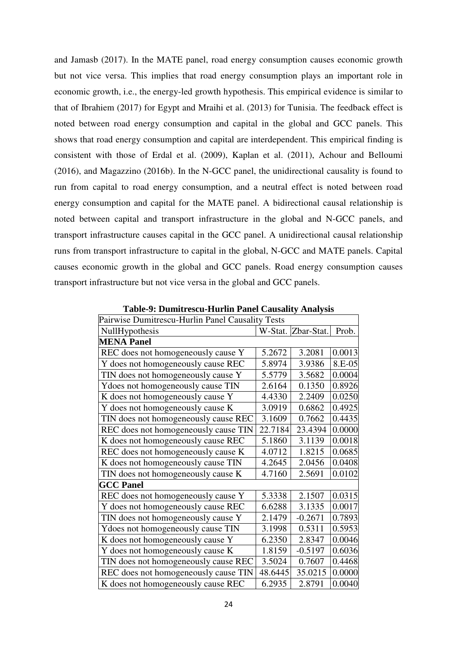and Jamasb (2017). In the MATE panel, road energy consumption causes economic growth but not vice versa. This implies that road energy consumption plays an important role in economic growth, i.e., the energy-led growth hypothesis. This empirical evidence is similar to that of Ibrahiem (2017) for Egypt and Mraihi et al. (2013) for Tunisia. The feedback effect is noted between road energy consumption and capital in the global and GCC panels. This shows that road energy consumption and capital are interdependent. This empirical finding is consistent with those of Erdal et al. (2009), Kaplan et al. (2011), Achour and Belloumi (2016), and Magazzino (2016b). In the N-GCC panel, the unidirectional causality is found to run from capital to road energy consumption, and a neutral effect is noted between road energy consumption and capital for the MATE panel. A bidirectional causal relationship is noted between capital and transport infrastructure in the global and N-GCC panels, and transport infrastructure causes capital in the GCC panel. A unidirectional causal relationship runs from transport infrastructure to capital in the global, N-GCC and MATE panels. Capital causes economic growth in the global and GCC panels. Road energy consumption causes transport infrastructure but not vice versa in the global and GCC panels.

| Pairwise Dumitrescu-Hurlin Panel Causality Tests |         |            |        |  |  |  |
|--------------------------------------------------|---------|------------|--------|--|--|--|
| NullHypothesis                                   | W-Stat. | Zbar-Stat. | Prob.  |  |  |  |
| <b>MENA Panel</b>                                |         |            |        |  |  |  |
| REC does not homogeneously cause Y               | 5.2672  | 3.2081     | 0.0013 |  |  |  |
| Y does not homogeneously cause REC               | 5.8974  | 3.9386     | 8.E-05 |  |  |  |
| TIN does not homogeneously cause Y               | 5.5779  | 3.5682     | 0.0004 |  |  |  |
| Ydoes not homogeneously cause TIN                | 2.6164  | 0.1350     | 0.8926 |  |  |  |
| K does not homogeneously cause Y                 | 4.4330  | 2.2409     | 0.0250 |  |  |  |
| Y does not homogeneously cause K                 | 3.0919  | 0.6862     | 0.4925 |  |  |  |
| TIN does not homogeneously cause REC             | 3.1609  | 0.7662     | 0.4435 |  |  |  |
| REC does not homogeneously cause TIN             | 22.7184 | 23.4394    | 0.0000 |  |  |  |
| K does not homogeneously cause REC               | 5.1860  | 3.1139     | 0.0018 |  |  |  |
| REC does not homogeneously cause K               | 4.0712  | 1.8215     | 0.0685 |  |  |  |
| K does not homogeneously cause TIN               | 4.2645  | 2.0456     | 0.0408 |  |  |  |
| TIN does not homogeneously cause K               | 4.7160  | 2.5691     | 0.0102 |  |  |  |
| <b>GCC Panel</b>                                 |         |            |        |  |  |  |
| REC does not homogeneously cause Y               | 5.3338  | 2.1507     | 0.0315 |  |  |  |
| Y does not homogeneously cause REC               | 6.6288  | 3.1335     | 0.0017 |  |  |  |
| TIN does not homogeneously cause Y               | 2.1479  | $-0.2671$  | 0.7893 |  |  |  |
| Ydoes not homogeneously cause TIN                | 3.1998  | 0.5311     | 0.5953 |  |  |  |
| K does not homogeneously cause Y                 | 6.2350  | 2.8347     | 0.0046 |  |  |  |
| Y does not homogeneously cause K                 | 1.8159  | $-0.5197$  | 0.6036 |  |  |  |
| TIN does not homogeneously cause REC             | 3.5024  | 0.7607     | 0.4468 |  |  |  |
| REC does not homogeneously cause TIN             | 48.6445 | 35.0215    | 0.0000 |  |  |  |
| K does not homogeneously cause REC               | 6.2935  | 2.8791     | 0.0040 |  |  |  |

**Table-9: Dumitrescu-Hurlin Panel Causality Analysis**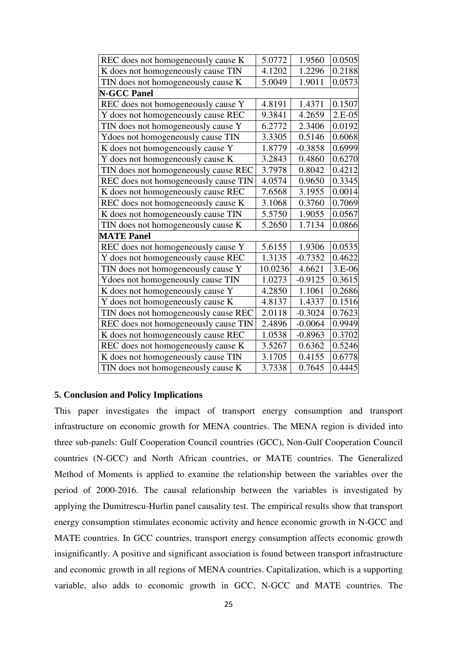| REC does not homogeneously cause K   | 5.0772  | 1.9560    | 0.0505   |
|--------------------------------------|---------|-----------|----------|
| K does not homogeneously cause TIN   | 4.1202  | 1.2296    | 0.2188   |
| TIN does not homogeneously cause K   | 5.0049  | 1.9011    | 0.0573   |
| <b>N-GCC Panel</b>                   |         |           |          |
| REC does not homogeneously cause Y   | 4.8191  | 1.4371    | 0.1507   |
| Y does not homogeneously cause REC   | 9.3841  | 4.2659    | $2.E-05$ |
| TIN does not homogeneously cause Y   | 6.2772  | 2.3406    | 0.0192   |
| Ydoes not homogeneously cause TIN    | 3.3305  | 0.5146    | 0.6068   |
| K does not homogeneously cause Y     | 1.8779  | $-0.3858$ | 0.6999   |
| Y does not homogeneously cause K     | 3.2843  | 0.4860    | 0.6270   |
| TIN does not homogeneously cause REC | 3.7978  | 0.8042    | 0.4212   |
| REC does not homogeneously cause TIN | 4.0574  | 0.9650    | 0.3345   |
| K does not homogeneously cause REC   | 7.6568  | 3.1955    | 0.0014   |
| REC does not homogeneously cause K   | 3.1068  | 0.3760    | 0.7069   |
| K does not homogeneously cause TIN   | 5.5750  | 1.9055    | 0.0567   |
| TIN does not homogeneously cause K   | 5.2650  | 1.7134    | 0.0866   |
| <b>MATE Panel</b>                    |         |           |          |
| REC does not homogeneously cause Y   | 5.6155  | 1.9306    | 0.0535   |
| Y does not homogeneously cause REC   | 1.3135  | $-0.7352$ | 0.4622   |
| TIN does not homogeneously cause Y   | 10.0236 | 4.6621    | 3.E-06   |
| Ydoes not homogeneously cause TIN    | 1.0273  | $-0.9125$ | 0.3615   |
| K does not homogeneously cause Y     | 4.2850  | 1.1061    | 0.2686   |
| Y does not homogeneously cause K     | 4.8137  | 1.4337    | 0.1516   |
| TIN does not homogeneously cause REC | 2.0118  | $-0.3024$ | 0.7623   |
| REC does not homogeneously cause TIN | 2.4896  | $-0.0064$ | 0.9949   |
| K does not homogeneously cause REC   | 1.0538  | $-0.8963$ | 0.3702   |
| REC does not homogeneously cause K   | 3.5267  | 0.6362    | 0.5246   |
| K does not homogeneously cause TIN   | 3.1705  | 0.4155    | 0.6778   |
| TIN does not homogeneously cause K   | 3.7338  | 0.7645    | 0.4445   |

#### **5. Conclusion and Policy Implications**

This paper investigates the impact of transport energy consumption and transport infrastructure on economic growth for MENA countries. The MENA region is divided into three sub-panels: Gulf Cooperation Council countries (GCC), Non-Gulf Cooperation Council countries (N-GCC) and North African countries, or MATE countries. The Generalized Method of Moments is applied to examine the relationship between the variables over the period of 2000-2016. The causal relationship between the variables is investigated by applying the Dumitrescu-Hurlin panel causality test. The empirical results show that transport energy consumption stimulates economic activity and hence economic growth in N-GCC and MATE countries. In GCC countries, transport energy consumption affects economic growth insignificantly. A positive and significant association is found between transport infrastructure and economic growth in all regions of MENA countries. Capitalization, which is a supporting variable, also adds to economic growth in GCC, N-GCC and MATE countries. The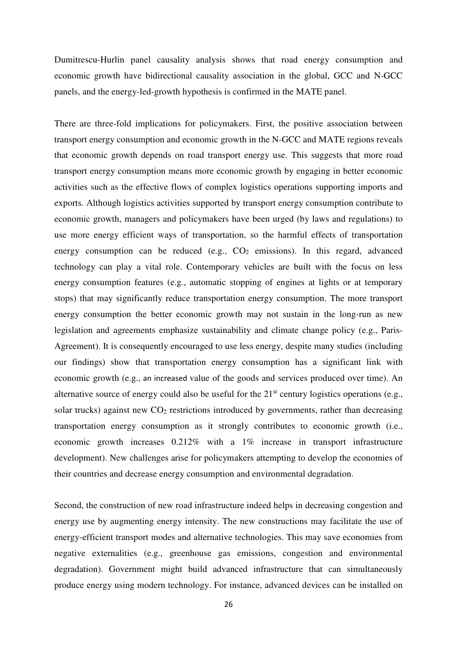Dumitrescu-Hurlin panel causality analysis shows that road energy consumption and economic growth have bidirectional causality association in the global, GCC and N-GCC panels, and the energy-led-growth hypothesis is confirmed in the MATE panel.

There are three-fold implications for policymakers. First, the positive association between transport energy consumption and economic growth in the N-GCC and MATE regions reveals that economic growth depends on road transport energy use. This suggests that more road transport energy consumption means more economic growth by engaging in better economic activities such as the effective flows of complex logistics operations supporting imports and exports. Although logistics activities supported by transport energy consumption contribute to economic growth, managers and policymakers have been urged (by laws and regulations) to use more energy efficient ways of transportation, so the harmful effects of transportation energy consumption can be reduced (e.g.,  $CO<sub>2</sub>$  emissions). In this regard, advanced technology can play a vital role. Contemporary vehicles are built with the focus on less energy consumption features (e.g., automatic stopping of engines at lights or at temporary stops) that may significantly reduce transportation energy consumption. The more transport energy consumption the better economic growth may not sustain in the long-run as new legislation and agreements emphasize sustainability and climate change policy (e.g., Paris-Agreement). It is consequently encouraged to use less energy, despite many studies (including our findings) show that transportation energy consumption has a significant link with economic growth (e.g., an increased value of the goods and services produced over time). An alternative source of energy could also be useful for the  $21<sup>st</sup>$  century logistics operations (e.g., solar trucks) against new CO<sub>2</sub> restrictions introduced by governments, rather than decreasing transportation energy consumption as it strongly contributes to economic growth (i.e., economic growth increases 0.212% with a 1% increase in transport infrastructure development). New challenges arise for policymakers attempting to develop the economies of their countries and decrease energy consumption and environmental degradation.

Second, the construction of new road infrastructure indeed helps in decreasing congestion and energy use by augmenting energy intensity. The new constructions may facilitate the use of energy-efficient transport modes and alternative technologies. This may save economies from negative externalities (e.g., greenhouse gas emissions, congestion and environmental degradation). Government might build advanced infrastructure that can simultaneously produce energy using modern technology. For instance, advanced devices can be installed on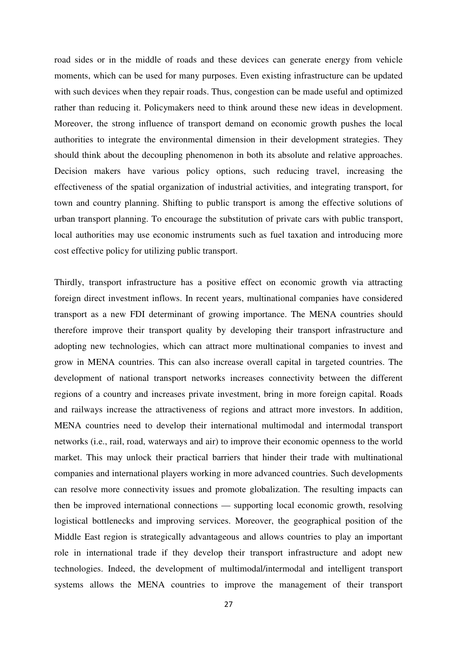road sides or in the middle of roads and these devices can generate energy from vehicle moments, which can be used for many purposes. Even existing infrastructure can be updated with such devices when they repair roads. Thus, congestion can be made useful and optimized rather than reducing it. Policymakers need to think around these new ideas in development. Moreover, the strong influence of transport demand on economic growth pushes the local authorities to integrate the environmental dimension in their development strategies. They should think about the decoupling phenomenon in both its absolute and relative approaches. Decision makers have various policy options, such reducing travel, increasing the effectiveness of the spatial organization of industrial activities, and integrating transport, for town and country planning. Shifting to public transport is among the effective solutions of urban transport planning. To encourage the substitution of private cars with public transport, local authorities may use economic instruments such as fuel taxation and introducing more cost effective policy for utilizing public transport.

Thirdly, transport infrastructure has a positive effect on economic growth via attracting foreign direct investment inflows. In recent years, multinational companies have considered transport as a new FDI determinant of growing importance. The MENA countries should therefore improve their transport quality by developing their transport infrastructure and adopting new technologies, which can attract more multinational companies to invest and grow in MENA countries. This can also increase overall capital in targeted countries. The development of national transport networks increases connectivity between the different regions of a country and increases private investment, bring in more foreign capital. Roads and railways increase the attractiveness of regions and attract more investors. In addition, MENA countries need to develop their international multimodal and intermodal transport networks (i.e., rail, road, waterways and air) to improve their economic openness to the world market. This may unlock their practical barriers that hinder their trade with multinational companies and international players working in more advanced countries. Such developments can resolve more connectivity issues and promote globalization. The resulting impacts can then be improved international connections — supporting local economic growth, resolving logistical bottlenecks and improving services. Moreover, the geographical position of the Middle East region is strategically advantageous and allows countries to play an important role in international trade if they develop their transport infrastructure and adopt new technologies. Indeed, the development of multimodal/intermodal and intelligent transport systems allows the MENA countries to improve the management of their transport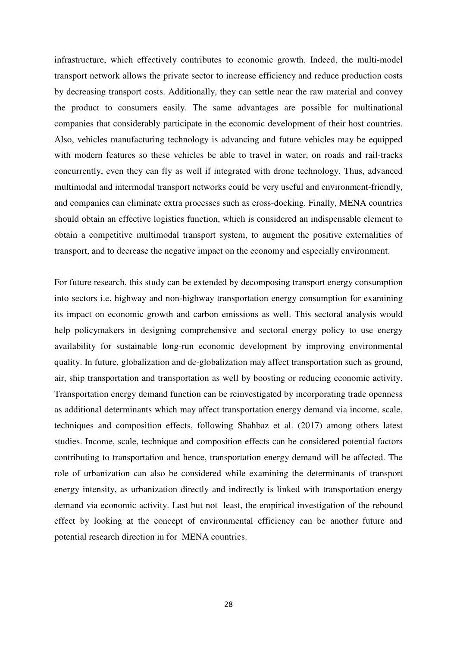infrastructure, which effectively contributes to economic growth. Indeed, the multi-model transport network allows the private sector to increase efficiency and reduce production costs by decreasing transport costs. Additionally, they can settle near the raw material and convey the product to consumers easily. The same advantages are possible for multinational companies that considerably participate in the economic development of their host countries. Also, vehicles manufacturing technology is advancing and future vehicles may be equipped with modern features so these vehicles be able to travel in water, on roads and rail-tracks concurrently, even they can fly as well if integrated with drone technology. Thus, advanced multimodal and intermodal transport networks could be very useful and environment-friendly, and companies can eliminate extra processes such as cross-docking. Finally, MENA countries should obtain an effective logistics function, which is considered an indispensable element to obtain a competitive multimodal transport system, to augment the positive externalities of transport, and to decrease the negative impact on the economy and especially environment.

For future research, this study can be extended by decomposing transport energy consumption into sectors i.e. highway and non-highway transportation energy consumption for examining its impact on economic growth and carbon emissions as well. This sectoral analysis would help policymakers in designing comprehensive and sectoral energy policy to use energy availability for sustainable long-run economic development by improving environmental quality. In future, globalization and de-globalization may affect transportation such as ground, air, ship transportation and transportation as well by boosting or reducing economic activity. Transportation energy demand function can be reinvestigated by incorporating trade openness as additional determinants which may affect transportation energy demand via income, scale, techniques and composition effects, following Shahbaz et al. (2017) among others latest studies. Income, scale, technique and composition effects can be considered potential factors contributing to transportation and hence, transportation energy demand will be affected. The role of urbanization can also be considered while examining the determinants of transport energy intensity, as urbanization directly and indirectly is linked with transportation energy demand via economic activity. Last but not least, the empirical investigation of the rebound effect by looking at the concept of environmental efficiency can be another future and potential research direction in for MENA countries.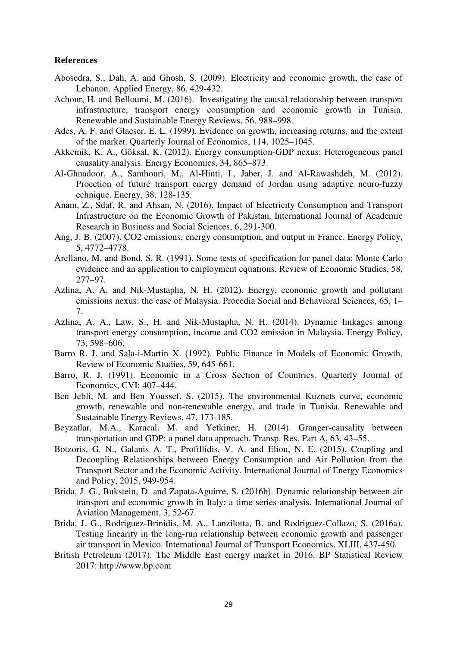#### **References**

- Abosedra, S., Dah, A. and Ghosh, S. (2009). Electricity and economic growth, the case of Lebanon. Applied Energy, 86, 429-432.
- Achour, H. and Belloumi, M. (2016). Investigating the causal relationship between transport infrastructure, transport energy consumption and economic growth in Tunisia. Renewable and Sustainable Energy Reviews, 56, 988–998.
- Ades, A. F. and Glaeser, E. L. (1999). Evidence on growth, increasing returns, and the extent of the market. Quarterly Journal of Economics, 114, 1025–1045.
- Akkemik, K. A., Göksal, K. (2012). Energy consumption-GDP nexus: Heterogeneous panel causality analysis. Energy Economics, 34, 865–873.
- Al-Ghnadoor, A., Samhouri, M., Al-Hinti, I., Jaber, J. and Al-Rawashdeh, M. (2012). Proection of future transport energy demand of Jordan using adaptive neuro-fuzzy echnique. Energy, 38, 128-135.
- Anam, Z., Sdaf, R. and Ahsan, N. (2016). Impact of Electricity Consumption and Transport Infrastructure on the Economic Growth of Pakistan. International Journal of Academic Research in Business and Social Sciences, 6, 291-300.
- Ang, J. B. (2007). CO2 emissions, energy consumption, and output in France. Energy Policy, 5, 4772–4778.
- Arellano, M. and Bond, S. R. (1991). Some tests of specification for panel data: Monte Carlo evidence and an application to employment equations. Review of Economic Studies, 58, 277–97.
- Azlina, A. A. and Nik-Mustapha, N. H. (2012). Energy, economic growth and pollutant emissions nexus: the case of Malaysia. Procedia Social and Behavioral Sciences, 65, 1– 7.
- Azlina, A. A., Law, S., H. and Nik-Mustapha, N. H. (2014). Dynamic linkages among transport energy consumption, income and CO2 emission in Malaysia. Energy Policy, 73, 598–606.
- Barro R. J. and Sala-i-Martin X. (1992). Public Finance in Models of Economic Growth, Review of Economic Studies, 59, 645-661.
- Barro, R. J. (1991). Economic in a Cross Section of Countries. Quarterly Journal of Economics, CVI: 407–444.
- Ben Jebli, M. and Ben Youssef, S. (2015). The environmental Kuznets curve, economic growth, renewable and non-renewable energy, and trade in Tunisia. Renewable and Sustainable Energy Reviews, 47, 173-185.
- Beyzatlar, M.A., Karacal, M. and Yetkiner, H. (2014). Granger-causality between transportation and GDP: a panel data approach. Transp. Res. Part A, 63, 43–55.
- Botzoris, G. N., Galanis A. T., Profillidis, V. A. and Eliou, N. E. (2015). Coupling and Decoupling Relationships between Energy Consumption and Air Pollution from the Transport Sector and the Economic Activity. International Journal of Energy Economics and Policy, 2015, 949-954.
- Brida, J. G., Bukstein, D. and Zapata-Aguirre, S. (2016b). Dynamic relationship between air transport and economic growth in Italy: a time series analysis. International Journal of Aviation Management, 3, 52-67.
- Brida, J. G., Rodriguez-Brinidis, M. A., Lanzilotta, B. and Rodriguez-Collazo, S. (2016a). Testing linearity in the long-run relationship between economic growth and passenger air transport in Mexico. International Journal of Transport Economics, XLIII, 437-450.
- British Petroleum (2017). The Middle East energy market in 2016. BP Statistical Review 2017: http://www.bp.com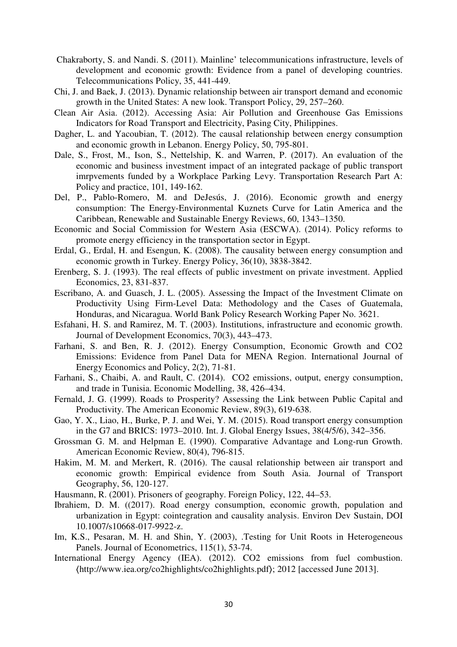- Chakraborty, S. and Nandi. S. (2011). Mainline' telecommunications infrastructure, levels of development and economic growth: Evidence from a panel of developing countries. Telecommunications Policy, 35, 441-449.
- Chi, J. and Baek, J. (2013). Dynamic relationship between air transport demand and economic growth in the United States: A new look. Transport Policy, 29, 257–260.
- Clean Air Asia. (2012). Accessing Asia: Air Pollution and Greenhouse Gas Emissions Indicators for Road Transport and Electricity, Pasing City, Philippines.
- Dagher, L. and Yacoubian, T. (2012). The causal relationship between energy consumption and economic growth in Lebanon. Energy Policy, 50, 795-801.
- Dale, S., Frost, M., Ison, S., Nettelship, K. and Warren, P. (2017). An evaluation of the economic and business investment impact of an integrated package of public transport imrpvements funded by a Workplace Parking Levy. Transportation Research Part A: Policy and practice, 101, 149-162.
- Del, P., Pablo-Romero, M. and DeJesús, J. (2016). Economic growth and energy consumption: The Energy-Environmental Kuznets Curve for Latin America and the Caribbean, Renewable and Sustainable Energy Reviews, 60, 1343–1350.
- Economic and Social Commission for Western Asia (ESCWA). (2014). Policy reforms to promote energy efficiency in the transportation sector in Egypt.
- Erdal, G., Erdal, H. and Esengun, K. (2008). The causality between energy consumption and economic growth in Turkey. Energy Policy, 36(10), 3838-3842.
- Erenberg, S. J. (1993). The real effects of public investment on private investment. Applied Economics, 23, 831-837.
- Escribano, A. and Guasch, J. L. (2005). Assessing the Impact of the Investment Climate on Productivity Using Firm-Level Data: Methodology and the Cases of Guatemala, Honduras, and Nicaragua. World Bank Policy Research Working Paper No. 3621.
- Esfahani, H. S. and Ramirez, M. T. (2003). Institutions, infrastructure and economic growth. Journal of Development Economics, 70(3), 443–473.
- Farhani, S. and Ben, R. J. (2012). Energy Consumption, Economic Growth and CO2 Emissions: Evidence from Panel Data for MENA Region. International Journal of Energy Economics and Policy, 2(2), 71-81.
- Farhani, S., Chaibi, A. and Rault, C. (2014). CO2 emissions, output, energy consumption, and trade in Tunisia. Economic Modelling, 38, 426–434.
- Fernald, J. G. (1999). Roads to Prosperity? Assessing the Link between Public Capital and Productivity. The American Economic Review, 89(3), 619-638.
- Gao, Y. X., Liao, H., Burke, P. J. and Wei, Y. M. (2015). Road transport energy consumption in the G7 and BRICS: 1973–2010. Int. J. Global Energy Issues, 38(4/5/6), 342–356.
- Grossman G. M. and Helpman E. (1990). Comparative Advantage and Long-run Growth. American Economic Review, 80(4), 796-815.
- Hakim, M. M. and Merkert, R. (2016). The causal relationship between air transport and economic growth: Empirical evidence from South Asia. Journal of Transport Geography, 56, 120-127.
- Hausmann, R. (2001). Prisoners of geography. Foreign Policy, 122, 44–53.
- Ibrahiem, D. M. ((2017). Road energy consumption, economic growth, population and urbanization in Egypt: cointegration and causality analysis. Environ Dev Sustain, DOI 10.1007/s10668-017-9922-z.
- Im, K.S., Pesaran, M. H. and Shin, Y. (2003), .Testing for Unit Roots in Heterogeneous Panels. Journal of Econometrics, 115(1), 53-74.
- International Energy Agency (IEA). (2012). CO2 emissions from fuel combustion. 〈http://www.iea.org/co2highlights/co2highlights.pdf〉; 2012 [accessed June 2013].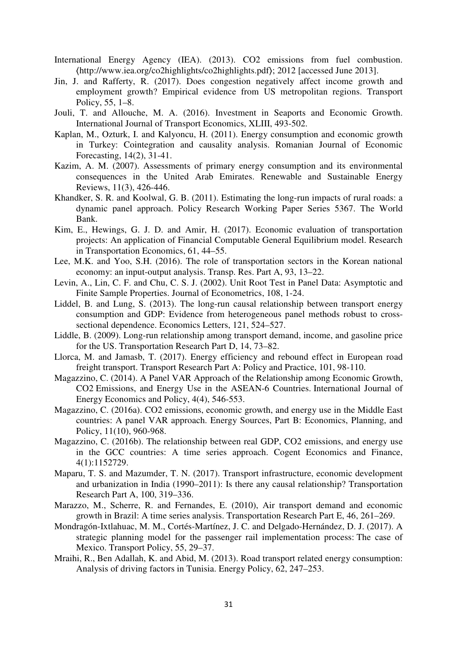- International Energy Agency (IEA). (2013). CO2 emissions from fuel combustion. 〈http://www.iea.org/co2highlights/co2highlights.pdf〉; 2012 [accessed June 2013].
- Jin, J. and Rafferty, R. (2017). Does congestion negatively affect income growth and employment growth? Empirical evidence from US metropolitan regions. Transport Policy, 55, 1–8.
- Jouli, T. and Allouche, M. A. (2016). Investment in Seaports and Economic Growth. International Journal of Transport Economics, XLIII, 493-502.
- Kaplan, M., Ozturk, I. and Kalyoncu, H. (2011). Energy consumption and economic growth in Turkey: Cointegration and causality analysis. Romanian Journal of Economic Forecasting, 14(2), 31-41.
- Kazim, A. M. (2007). Assessments of primary energy consumption and its environmental consequences in the United Arab Emirates. Renewable and Sustainable Energy Reviews, 11(3), 426-446.
- Khandker, S. R. and Koolwal, G. B. (2011). Estimating the long-run impacts of rural roads: a dynamic panel approach. Policy Research Working Paper Series 5367. The World Bank.
- Kim, E., Hewings, G. J. D. and Amir, H. (2017). Economic evaluation of transportation projects: An application of Financial Computable General Equilibrium model. Research in Transportation Economics, 61, 44–55.
- Lee, M.K. and Yoo, S.H. (2016). The role of transportation sectors in the Korean national economy: an input-output analysis. Transp. Res. Part A, 93, 13–22.
- Levin, A., Lin, C. F. and Chu, C. S. J. (2002). Unit Root Test in Panel Data: Asymptotic and Finite Sample Properties. Journal of Econometrics, 108, 1-24.
- Liddel, B. and Lung, S. (2013). The long-run causal relationship between transport energy consumption and GDP: Evidence from heterogeneous panel methods robust to crosssectional dependence. Economics Letters, 121, 524–527.
- Liddle, B. (2009). Long-run relationship among transport demand, income, and gasoline price for the US. Transportation Research Part D, 14, 73–82.
- Llorca, M. and Jamasb, T. (2017). Energy efficiency and rebound effect in European road freight transport. Transport Research Part A: Policy and Practice, 101, 98-110.
- Magazzino, C. (2014). A Panel VAR Approach of the Relationship among Economic Growth, CO2 Emissions, and Energy Use in the ASEAN-6 Countries. International Journal of Energy Economics and Policy, 4(4), 546-553.
- Magazzino, C. (2016a). CO2 emissions, economic growth, and energy use in the Middle East countries: A panel VAR approach. Energy Sources, Part B: Economics, Planning, and Policy, 11(10), 960-968.
- Magazzino, C. (2016b). The relationship between real GDP, CO2 emissions, and energy use in the GCC countries: A time series approach. Cogent Economics and Finance, 4(1):1152729.
- Maparu, T. S. and Mazumder, T. N. (2017). Transport infrastructure, economic development and urbanization in India (1990–2011): Is there any causal relationship? Transportation Research Part A, 100, 319–336.
- Marazzo, M., Scherre, R. and Fernandes, E. (2010), Air transport demand and economic growth in Brazil: A time series analysis. Transportation Research Part E, 46, 261–269.
- Mondragón-Ixtlahuac, M. M., Cortés-Martínez, J. C. and Delgado-Hernández, D. J. (2017). A strategic planning model for the passenger rail implementation process: The case of Mexico. Transport Policy, 55, 29–37.
- Mraihi, R., Ben Adallah, K. and Abid, M. (2013). Road transport related energy consumption: Analysis of driving factors in Tunisia. Energy Policy, 62, 247–253.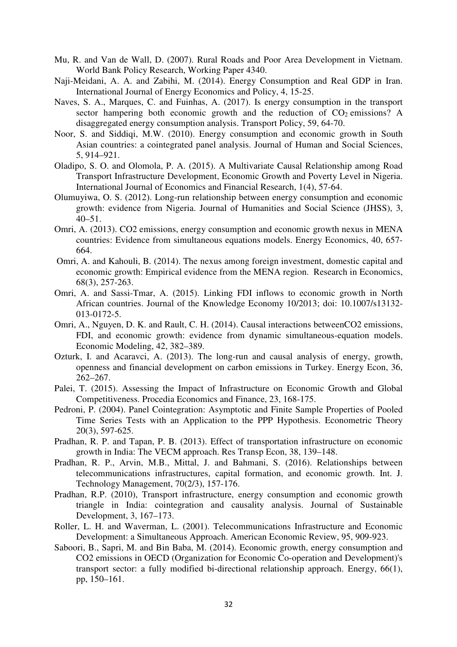- Mu, R. and Van de Wall, D. (2007). Rural Roads and Poor Area Development in Vietnam. World Bank Policy Research, Working Paper 4340.
- Naji-Meidani, A. A. and Zabihi, M. (2014). Energy Consumption and Real GDP in Iran. International Journal of Energy Economics and Policy, 4, 15-25.
- Naves, S. A., Marques, C. and Fuinhas, A. (2017). Is energy consumption in the transport sector hampering both economic growth and the reduction of  $CO<sub>2</sub>$  emissions? A disaggregated energy consumption analysis. Transport Policy, 59, 64-70.
- Noor, S. and Siddiqi, M.W. (2010). Energy consumption and economic growth in South Asian countries: a cointegrated panel analysis. Journal of Human and Social Sciences, 5, 914–921.
- Oladipo, S. O. and Olomola, P. A. (2015). A Multivariate Causal Relationship among Road Transport Infrastructure Development, Economic Growth and Poverty Level in Nigeria. International Journal of Economics and Financial Research, 1(4), 57-64.
- Olumuyiwa, O. S. (2012). Long-run relationship between energy consumption and economic growth: evidence from Nigeria. Journal of Humanities and Social Science (JHSS), 3,  $40 - 51$ .
- Omri, A. (2013). CO2 emissions, energy consumption and economic growth nexus in MENA countries: Evidence from simultaneous equations models. Energy Economics, 40, 657- 664.
- Omri, A. and Kahouli, B. (2014). The nexus among foreign investment, domestic capital and economic growth: Empirical evidence from the MENA region. Research in Economics, 68(3), 257-263.
- Omri, A. and Sassi-Tmar, A. (2015). Linking FDI inflows to economic growth in North African countries. Journal of the Knowledge Economy 10/2013; doi: 10.1007/s13132- 013-0172-5.
- Omri, A., Nguyen, D. K. and Rault, C. H. (2014). Causal interactions betweenCO2 emissions, FDI, and economic growth: evidence from dynamic simultaneous-equation models. Economic Modeling, 42, 382–389.
- Ozturk, I. and Acaravci, A. (2013). The long-run and causal analysis of energy, growth, openness and financial development on carbon emissions in Turkey. Energy Econ, 36, 262–267.
- Palei, T. (2015). Assessing the Impact of Infrastructure on Economic Growth and Global Competitiveness. Procedia Economics and Finance, 23, 168-175.
- Pedroni, P. (2004). Panel Cointegration: Asymptotic and Finite Sample Properties of Pooled Time Series Tests with an Application to the PPP Hypothesis. Econometric Theory 20(3), 597-625.
- Pradhan, R. P. and Tapan, P. B. (2013). Effect of transportation infrastructure on economic growth in India: The VECM approach. Res Transp Econ, 38, 139–148.
- Pradhan, R. P., Arvin, M.B., Mittal, J. and Bahmani, S. (2016). Relationships between telecommunications infrastructures, capital formation, and economic growth. Int. J. Technology Management, 70(2/3), 157-176.
- Pradhan, R.P. (2010), Transport infrastructure, energy consumption and economic growth triangle in India: cointegration and causality analysis. Journal of Sustainable Development, 3, 167–173.
- Roller, L. H. and Waverman, L. (2001). Telecommunications Infrastructure and Economic Development: a Simultaneous Approach. American Economic Review, 95, 909-923.
- Saboori, B., Sapri, M. and Bin Baba, M. (2014). Economic growth, energy consumption and CO2 emissions in OECD (Organization for Economic Co-operation and Development)'s transport sector: a fully modified bi-directional relationship approach. Energy, 66(1), pp, 150–161.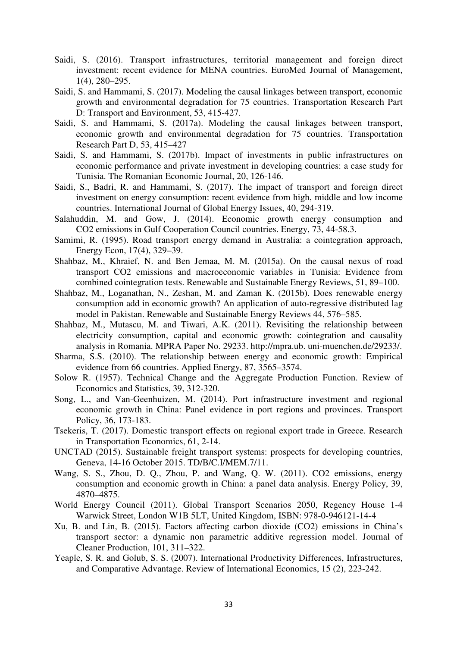- Saidi, S. (2016). Transport infrastructures, territorial management and foreign direct investment: recent evidence for MENA countries. EuroMed Journal of Management, 1(4), 280–295.
- Saidi, S. and Hammami, S. (2017). Modeling the causal linkages between transport, economic growth and environmental degradation for 75 countries. Transportation Research Part D: Transport and Environment, 53, 415-427.
- Saidi, S. and Hammami, S. (2017a). Modeling the causal linkages between transport, economic growth and environmental degradation for 75 countries. Transportation Research Part D, 53, 415–427
- Saidi, S. and Hammami, S. (2017b). Impact of investments in public infrastructures on economic performance and private investment in developing countries: a case study for Tunisia. The Romanian Economic Journal, 20, 126-146.
- Saidi, S., Badri, R. and Hammami, S. (2017). The impact of transport and foreign direct investment on energy consumption: recent evidence from high, middle and low income countries. International Journal of Global Energy Issues, 40, 294-319.
- Salahuddin, M. and Gow, J. (2014). Economic growth energy consumption and CO2 emissions in Gulf Cooperation Council countries. Energy, 73, 44-58.3.
- Samimi, R. (1995). Road transport energy demand in Australia: a cointegration approach, Energy Econ, 17(4), 329–39.
- Shahbaz, M., Khraief, N. and Ben Jemaa, M. M. (2015a). On the causal nexus of road transport CO2 emissions and macroeconomic variables in Tunisia: Evidence from combined cointegration tests. Renewable and Sustainable Energy Reviews, 51, 89–100.
- Shahbaz, M., Loganathan, N., Zeshan, M. and Zaman K. (2015b). Does renewable energy consumption add in economic growth? An application of auto-regressive distributed lag model in Pakistan. Renewable and Sustainable Energy Reviews 44, 576–585.
- Shahbaz, M., Mutascu, M. and Tiwari, A.K. (2011). Revisiting the relationship between electricity consumption, capital and economic growth: cointegration and causality analysis in Romania. MPRA Paper No. 29233. http://mpra.ub. uni-muenchen.de/29233/.
- Sharma, S.S. (2010). The relationship between energy and economic growth: Empirical evidence from 66 countries. Applied Energy, 87, 3565–3574.
- Solow R. (1957). Technical Change and the Aggregate Production Function. Review of Economics and Statistics, 39, 312-320.
- Song, L., and Van-Geenhuizen, M. (2014). Port infrastructure investment and regional economic growth in China: Panel evidence in port regions and provinces. Transport Policy, 36, 173-183.
- Tsekeris, T. (2017). Domestic transport effects on regional export trade in Greece. Research in Transportation Economics, 61, 2-14.
- UNCTAD (2015). Sustainable freight transport systems: prospects for developing countries, Geneva, 14-16 October 2015. TD/B/C.I/MEM.7/11.
- Wang, S. S., Zhou, D. Q., Zhou, P. and Wang, Q. W. (2011). CO2 emissions, energy consumption and economic growth in China: a panel data analysis. Energy Policy, 39, 4870–4875.
- World Energy Council (2011). Global Transport Scenarios 2050, Regency House 1-4 Warwick Street, London W1B 5LT, United Kingdom, ISBN: 978-0-946121-14-4
- Xu, B. and Lin, B. (2015). Factors affecting carbon dioxide (CO2) emissions in China's transport sector: a dynamic non parametric additive regression model. Journal of Cleaner Production, 101, 311–322.
- Yeaple, S. R. and Golub, S. S. (2007). International Productivity Differences, Infrastructures, and Comparative Advantage. Review of International Economics, 15 (2), 223-242.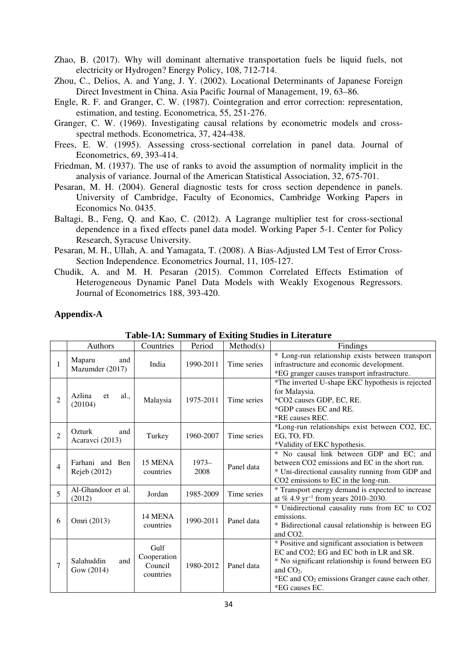- Zhao, B. (2017). Why will dominant alternative transportation fuels be liquid fuels, not electricity or Hydrogen? Energy Policy, 108, 712-714.
- Zhou, C., Delios, A. and Yang, J. Y. (2002). Locational Determinants of Japanese Foreign Direct Investment in China. Asia Pacific Journal of Management, 19, 63–86.
- Engle, R. F. and Granger, C. W. (1987). Cointegration and error correction: representation, estimation, and testing. Econometrica, 55, 251-276.
- Granger, C. W. (1969). Investigating causal relations by econometric models and crossspectral methods. Econometrica, 37, 424-438.
- Frees, E. W. (1995). Assessing cross-sectional correlation in panel data. Journal of Econometrics, 69, 393-414.
- Friedman, M. (1937). The use of ranks to avoid the assumption of normality implicit in the analysis of variance. Journal of the American Statistical Association, 32, 675-701.
- Pesaran, M. H. (2004). General diagnostic tests for cross section dependence in panels. University of Cambridge, Faculty of Economics, Cambridge Working Papers in Economics No. 0435.
- Baltagi, B., Feng, Q. and Kao, C. (2012). A Lagrange multiplier test for cross-sectional dependence in a fixed effects panel data model. Working Paper 5-1. Center for Policy Research, Syracuse University.
- Pesaran, M. H., Ullah, A. and Yamagata, T. (2008). A Bias-Adjusted LM Test of Error Cross-Section Independence. Econometrics Journal, 11, 105-127.
- Chudik, A. and M. H. Pesaran (2015). Common Correlated Effects Estimation of Heterogeneous Dynamic Panel Data Models with Weakly Exogenous Regressors. Journal of Econometrics 188, 393-420.

# **Appendix-A**

|   |                | Authors                          | Countries                                   | Period          | Method(s)   | Findings                                                                                                                                                                                                                                   |
|---|----------------|----------------------------------|---------------------------------------------|-----------------|-------------|--------------------------------------------------------------------------------------------------------------------------------------------------------------------------------------------------------------------------------------------|
|   | $\mathbf{1}$   | Maparu<br>and<br>Mazumder (2017) | India                                       | 1990-2011       | Time series | * Long-run relationship exists between transport<br>infrastructure and economic development.<br>*EG granger causes transport infrastructure.                                                                                               |
|   | 2              | Azlina<br>al.,<br>et.<br>(20104) | Malaysia                                    | 1975-2011       | Time series | *The inverted U-shape EKC hypothesis is rejected<br>for Malaysia.<br>*CO2 causes GDP, EC, RE.<br>*GDP causes EC and RE.<br>*RE causes REC.                                                                                                 |
|   | $\overline{2}$ | Ozturk<br>and<br>Acaravci (2013) | Turkey                                      | 1960-2007       | Time series | *Long-run relationships exist between CO2, EC,<br>EG, TO, FD.<br>*Validity of EKC hypothesis.                                                                                                                                              |
|   | $\overline{4}$ | Farhani and Ben<br>Rejeb (2012)  | 15 MENA<br>countries                        | $1973-$<br>2008 | Panel data  | * No causal link between GDP and EC; and<br>between CO2 emissions and EC in the short run.<br>* Uni-directional causality running from GDP and<br>CO2 emissions to EC in the long-run.                                                     |
|   | 5              | Al-Ghandoor et al.<br>(2012)     | Jordan                                      | 1985-2009       | Time series | * Transport energy demand is expected to increase<br>at % 4.9 yr <sup>-1</sup> from years 2010–2030.                                                                                                                                       |
|   | 6              | Omri (2013)                      | 14 MENA<br>countries                        | 1990-2011       | Panel data  | * Unidirectional causality runs from EC to CO2<br>emissions.<br>* Bidirectional causal relationship is between EG<br>and CO <sub>2</sub> .                                                                                                 |
| 7 |                | Salahuddin<br>and<br>Gow (2014)  | Gulf<br>Cooperation<br>Council<br>countries | 1980-2012       | Panel data  | * Positive and significant association is between<br>EC and CO2; EG and EC both in LR and SR.<br>* No significant relationship is found between EG<br>and $CO2$ .<br>$*EC$ and $CO2$ emissions Granger cause each other.<br>*EG causes EC. |

**Table-1A: Summary of Exiting Studies in Literature**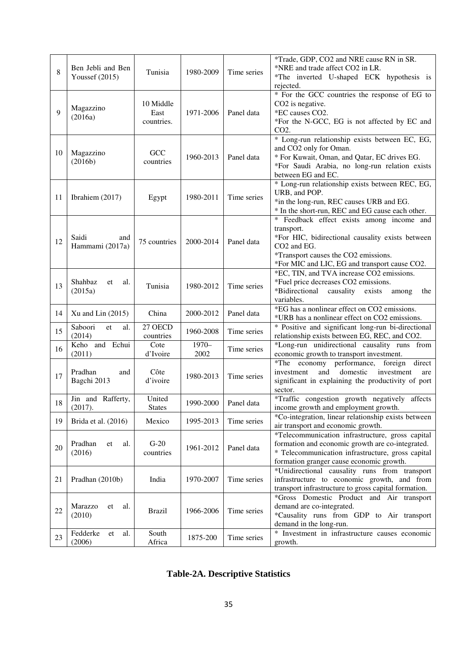| 8  | Ben Jebli and Ben<br>Youssef $(2015)$ | Tunisia                         | 1980-2009       | Time series | *Trade, GDP, CO2 and NRE cause RN in SR.<br>*NRE and trade affect CO2 in LR.<br>*The inverted U-shaped ECK hypothesis is<br>rejected.                                                                                           |
|----|---------------------------------------|---------------------------------|-----------------|-------------|---------------------------------------------------------------------------------------------------------------------------------------------------------------------------------------------------------------------------------|
| 9  | Magazzino<br>(2016a)                  | 10 Middle<br>East<br>countries. | 1971-2006       | Panel data  | * For the GCC countries the response of EG to<br>CO <sub>2</sub> is negative.<br>*EC causes CO2.<br>*For the N-GCC, EG is not affected by EC and<br>CO <sub>2</sub> .                                                           |
| 10 | Magazzino<br>(2016b)                  | GCC<br>countries                | 1960-2013       | Panel data  | * Long-run relationship exists between EC, EG,<br>and CO2 only for Oman.<br>* For Kuwait, Oman, and Qatar, EC drives EG.<br>*For Saudi Arabia, no long-run relation exists<br>between EG and EC.                                |
| 11 | Ibrahiem (2017)                       | Egypt                           | 1980-2011       | Time series | * Long-run relationship exists between REC, EG,<br>URB, and POP.<br>*in the long-run, REC causes URB and EG.<br>* In the short-run, REC and EG cause each other.                                                                |
| 12 | Saidi<br>and<br>Hammami (2017a)       | 75 countries                    | 2000-2014       | Panel data  | * Feedback effect exists among income and<br>transport.<br>*For HIC, bidirectional causality exists between<br>CO <sub>2</sub> and EG.<br>*Transport causes the CO2 emissions.<br>*For MIC and LIC, EG and transport cause CO2. |
| 13 | Shahbaz<br>et<br>al.<br>(2015a)       | Tunisia                         | 1980-2012       | Time series | *EC, TIN, and TVA increase CO2 emissions.<br>*Fuel price decreases CO2 emissions.<br>*Bidirectional<br>causality exists<br>among<br>the<br>variables.                                                                           |
| 14 | Xu and Lin $(2015)$                   | China                           | 2000-2012       | Panel data  | *EG has a nonlinear effect on CO2 emissions.<br>*URB has a nonlinear effect on CO2 emissions.                                                                                                                                   |
| 15 | Saboori<br>al.<br>et<br>(2014)        | 27 OECD<br>countries            | 1960-2008       | Time series | * Positive and significant long-run bi-directional<br>relationship exists between EG, REC, and CO2.                                                                                                                             |
| 16 | Keho and Echui<br>(2011)              | Cote<br>d'Ivoire                | $1970-$<br>2002 | Time series | *Long-run unidirectional causality runs from<br>economic growth to transport investment.                                                                                                                                        |
| 17 | Pradhan<br>and<br>Bagchi 2013         | Côte<br>d'ivoire                | 1980-2013       | Time series | $*$ The<br>economy performance,<br>foreign<br>direct<br>and<br>domestic<br>investment<br>investment<br>are<br>significant in explaining the productivity of port<br>sector.                                                     |
| 18 | Jin and Rafferty,<br>(2017).          | United<br><b>States</b>         | 1990-2000       | Panel data  | *Traffic congestion growth negatively affects<br>income growth and employment growth.                                                                                                                                           |
| 19 | Brida et al. (2016)                   | Mexico                          | 1995-2013       | Time series | *Co-integration, linear relationship exists between<br>air transport and economic growth.                                                                                                                                       |
| 20 | Pradhan<br>al.<br>et<br>(2016)        | $G-20$<br>countries             | 1961-2012       | Panel data  | *Telecommunication infrastructure, gross capital<br>formation and economic growth are co-integrated.<br>* Telecommunication infrastructure, gross capital<br>formation granger cause economic growth.                           |
| 21 | Pradhan (2010b)                       | India                           | 1970-2007       | Time series | *Unidirectional causality runs from transport<br>infrastructure to economic growth, and from<br>transport infrastructure to gross capital formation.                                                                            |
| 22 | Marazzo<br>al.<br>et<br>(2010)        | <b>Brazil</b>                   | 1966-2006       | Time series | *Gross Domestic Product and Air transport<br>demand are co-integrated.<br>*Causality runs from GDP to Air transport<br>demand in the long-run.                                                                                  |
| 23 | Fedderke<br>al.<br>et<br>(2006)       | South<br>Africa                 | 1875-200        | Time series | * Investment in infrastructure causes economic<br>growth.                                                                                                                                                                       |

# **Table-2A. Descriptive Statistics**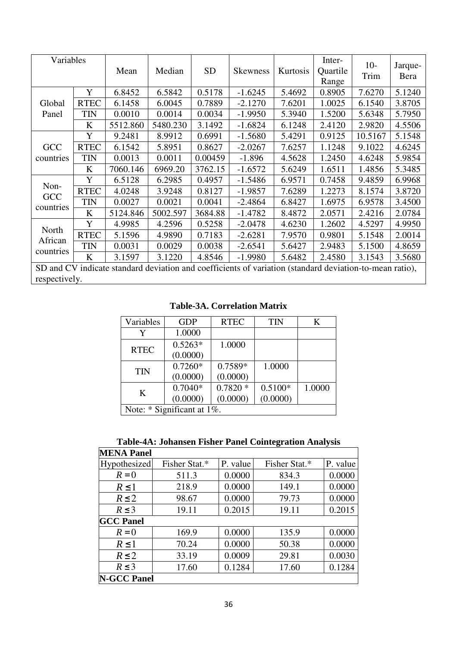| Variables                                                                                                                |             | Mean     | Median   | <b>SD</b> | <b>Skewness</b> | Kurtosis | Inter-<br>Quartile<br>Range | $10-$<br>Trim | Jarque-<br>Bera |
|--------------------------------------------------------------------------------------------------------------------------|-------------|----------|----------|-----------|-----------------|----------|-----------------------------|---------------|-----------------|
| Global<br>Panel                                                                                                          | Y           | 6.8452   | 6.5842   | 0.5178    | $-1.6245$       | 5.4692   | 0.8905                      | 7.6270        | 5.1240          |
|                                                                                                                          | <b>RTEC</b> | 6.1458   | 6.0045   | 0.7889    | $-2.1270$       | 7.6201   | 1.0025                      | 6.1540        | 3.8705          |
|                                                                                                                          | TIN         | 0.0010   | 0.0014   | 0.0034    | $-1.9950$       | 5.3940   | 1.5200                      | 5.6348        | 5.7950          |
|                                                                                                                          | K           | 5512.860 | 5480.230 | 3.1492    | $-1.6824$       | 6.1248   | 2.4120                      | 2.9820        | 4.5506          |
| GCC<br>countries                                                                                                         | Y           | 9.2481   | 8.9912   | 0.6991    | $-1.5680$       | 5.4291   | 0.9125                      | 10.5167       | 5.1548          |
|                                                                                                                          | <b>RTEC</b> | 6.1542   | 5.8951   | 0.8627    | $-2.0267$       | 7.6257   | 1.1248                      | 9.1022        | 4.6245          |
|                                                                                                                          | <b>TIN</b>  | 0.0013   | 0.0011   | 0.00459   | $-1.896$        | 4.5628   | 1.2450                      | 4.6248        | 5.9854          |
|                                                                                                                          | K           | 7060.146 | 6969.20  | 3762.15   | $-1.6572$       | 5.6249   | 1.6511                      | 1.4856        | 5.3485          |
| Non-<br>GCC<br>countries                                                                                                 | Y           | 6.5128   | 6.2985   | 0.4957    | $-1.5486$       | 6.9571   | 0.7458                      | 9.4859        | 6.9968          |
|                                                                                                                          | <b>RTEC</b> | 4.0248   | 3.9248   | 0.8127    | $-1.9857$       | 7.6289   | 1.2273                      | 8.1574        | 3.8720          |
|                                                                                                                          | <b>TIN</b>  | 0.0027   | 0.0021   | 0.0041    | $-2.4864$       | 6.8427   | 1.6975                      | 6.9578        | 3.4500          |
|                                                                                                                          | K           | 5124.846 | 5002.597 | 3684.88   | $-1.4782$       | 8.4872   | 2.0571                      | 2.4216        | 2.0784          |
| North<br>African<br>countries                                                                                            | Y           | 4.9985   | 4.2596   | 0.5258    | $-2.0478$       | 4.6230   | 1.2602                      | 4.5297        | 4.9950          |
|                                                                                                                          | <b>RTEC</b> | 5.1596   | 4.9890   | 0.7183    | $-2.6281$       | 7.9570   | 0.9801                      | 5.1548        | 2.0014          |
|                                                                                                                          | TIN         | 0.0031   | 0.0029   | 0.0038    | $-2.6541$       | 5.6427   | 2.9483                      | 5.1500        | 4.8659          |
|                                                                                                                          | K           | 3.1597   | 3.1220   | 4.8546    | $-1.9980$       | 5.6482   | 2.4580                      | 3.1543        | 3.5680          |
| SD and CV indicate standard deviation and coefficients of variation (standard deviation-to-mean ratio),<br>respectively. |             |          |          |           |                 |          |                             |               |                 |

**Table-3A. Correlation Matrix** 

| Variables                  | <b>GDP</b> | <b>RTEC</b> | <b>TIN</b> | K      |  |
|----------------------------|------------|-------------|------------|--------|--|
| Y                          | 1.0000     |             |            |        |  |
| <b>RTEC</b>                | $0.5263*$  | 1.0000      |            |        |  |
|                            | (0.0000)   |             |            |        |  |
| <b>TIN</b>                 | $0.7260*$  | 0.7589*     | 1.0000     |        |  |
|                            | (0.0000)   | (0.0000)    |            |        |  |
| K                          | $0.7040*$  | $0.7820*$   | $0.5100*$  | 1.0000 |  |
|                            | (0.0000)   | (0.0000)    | (0.0000)   |        |  |
| Note: * Significant at 1%. |            |             |            |        |  |

| <b>MENA Panel</b>  |               |          |               |          |  |  |  |
|--------------------|---------------|----------|---------------|----------|--|--|--|
| Hypothesized       | Fisher Stat.* | P. value | Fisher Stat.* | P. value |  |  |  |
| $R=0$              | 511.3         | 0.0000   | 834.3         | 0.0000   |  |  |  |
| $R \leq 1$         | 218.9         | 0.0000   | 149.1         | 0.0000   |  |  |  |
| $R \leq 2$         | 98.67         | 0.0000   | 79.73         | 0.0000   |  |  |  |
| $R \leq 3$         | 19.11         | 0.2015   | 19.11         | 0.2015   |  |  |  |
| <b>GCC Panel</b>   |               |          |               |          |  |  |  |
| $R=0$              | 169.9         | 0.0000   | 135.9         | 0.0000   |  |  |  |
| $R \leq 1$         | 70.24         | 0.0000   | 50.38         | 0.0000   |  |  |  |
| $R \leq 2$         | 33.19         | 0.0009   | 29.81         | 0.0030   |  |  |  |
| $R \leq 3$         | 17.60         | 0.1284   | 17.60         | 0.1284   |  |  |  |
| <b>N-GCC Panel</b> |               |          |               |          |  |  |  |